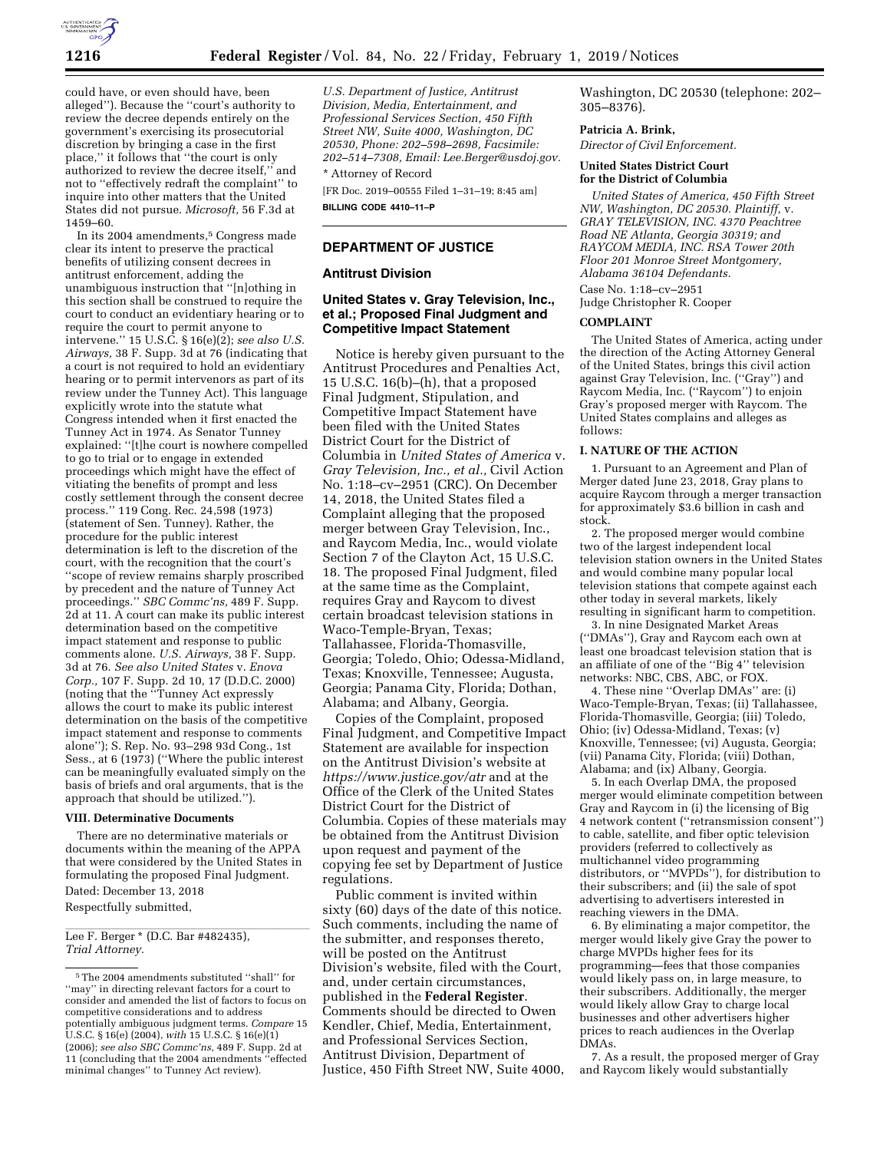

could have, or even should have, been alleged''). Because the ''court's authority to review the decree depends entirely on the government's exercising its prosecutorial discretion by bringing a case in the first place,'' it follows that ''the court is only authorized to review the decree itself,'' and not to ''effectively redraft the complaint'' to inquire into other matters that the United States did not pursue. *Microsoft,* 56 F.3d at 1459–60.

In its 2004 amendments,<sup>5</sup> Congress made clear its intent to preserve the practical benefits of utilizing consent decrees in antitrust enforcement, adding the unambiguous instruction that ''[n]othing in this section shall be construed to require the court to conduct an evidentiary hearing or to require the court to permit anyone to intervene.'' 15 U.S.C. § 16(e)(2); *see also U.S. Airways,* 38 F. Supp. 3d at 76 (indicating that a court is not required to hold an evidentiary hearing or to permit intervenors as part of its review under the Tunney Act). This language explicitly wrote into the statute what Congress intended when it first enacted the Tunney Act in 1974. As Senator Tunney explained: ''[t]he court is nowhere compelled to go to trial or to engage in extended proceedings which might have the effect of vitiating the benefits of prompt and less costly settlement through the consent decree process.'' 119 Cong. Rec. 24,598 (1973) (statement of Sen. Tunney). Rather, the procedure for the public interest determination is left to the discretion of the court, with the recognition that the court's ''scope of review remains sharply proscribed by precedent and the nature of Tunney Act proceedings.'' *SBC Commc'ns,* 489 F. Supp. 2d at 11. A court can make its public interest determination based on the competitive impact statement and response to public comments alone. *U.S. Airways,* 38 F. Supp. 3d at 76. *See also United States* v. *Enova Corp.,* 107 F. Supp. 2d 10, 17 (D.D.C. 2000) (noting that the ''Tunney Act expressly allows the court to make its public interest determination on the basis of the competitive impact statement and response to comments alone''); S. Rep. No. 93–298 93d Cong., 1st Sess., at 6 (1973) (''Where the public interest can be meaningfully evaluated simply on the basis of briefs and oral arguments, that is the approach that should be utilized.").

#### **VIII. Determinative Documents**

There are no determinative materials or documents within the meaning of the APPA that were considered by the United States in formulating the proposed Final Judgment. Dated: December 13, 2018 Respectfully submitted,

Lee F. Berger \* (D.C. Bar #482435), *Trial Attorney.* 

*U.S. Department of Justice, Antitrust Division, Media, Entertainment, and Professional Services Section, 450 Fifth Street NW, Suite 4000, Washington, DC 20530, Phone: 202–598–2698, Facsimile: 202–514–7308, Email: [Lee.Berger@usdoj.gov.](mailto:Lee.Berger@usdoj.gov)* 

\* Attorney of Record

[FR Doc. 2019–00555 Filed 1–31–19; 8:45 am] **BILLING CODE 4410–11–P** 

# **DEPARTMENT OF JUSTICE**

#### **Antitrust Division**

# **United States v. Gray Television, Inc., et al.; Proposed Final Judgment and Competitive Impact Statement**

Notice is hereby given pursuant to the Antitrust Procedures and Penalties Act, 15 U.S.C. 16(b)–(h), that a proposed Final Judgment, Stipulation, and Competitive Impact Statement have been filed with the United States District Court for the District of Columbia in *United States of America* v. *Gray Television, Inc., et al.,* Civil Action No. 1:18–cv–2951 (CRC). On December 14, 2018, the United States filed a Complaint alleging that the proposed merger between Gray Television, Inc., and Raycom Media, Inc., would violate Section 7 of the Clayton Act, 15 U.S.C. 18. The proposed Final Judgment, filed at the same time as the Complaint, requires Gray and Raycom to divest certain broadcast television stations in Waco-Temple-Bryan, Texas; Tallahassee, Florida-Thomasville, Georgia; Toledo, Ohio; Odessa-Midland, Texas; Knoxville, Tennessee; Augusta, Georgia; Panama City, Florida; Dothan, Alabama; and Albany, Georgia.

Copies of the Complaint, proposed Final Judgment, and Competitive Impact Statement are available for inspection on the Antitrust Division's website at *<https://www.justice.gov/atr>* and at the Office of the Clerk of the United States District Court for the District of Columbia. Copies of these materials may be obtained from the Antitrust Division upon request and payment of the copying fee set by Department of Justice regulations.

Public comment is invited within sixty (60) days of the date of this notice. Such comments, including the name of the submitter, and responses thereto, will be posted on the Antitrust Division's website, filed with the Court, and, under certain circumstances, published in the **Federal Register**. Comments should be directed to Owen Kendler, Chief, Media, Entertainment, and Professional Services Section, Antitrust Division, Department of Justice, 450 Fifth Street NW, Suite 4000, Washington, DC 20530 (telephone: 202– 305–8376).

# **Patricia A. Brink,**

*Director of Civil Enforcement.* 

# **United States District Court for the District of Columbia**

*United States of America, 450 Fifth Street NW, Washington, DC 20530. Plaintiff,* v. *GRAY TELEVISION, INC. 4370 Peachtree Road NE Atlanta, Georgia 30319; and RAYCOM MEDIA, INC. RSA Tower 20th Floor 201 Monroe Street Montgomery, Alabama 36104 Defendants.*  Case No. 1:18–cv–2951 Judge Christopher R. Cooper

#### **COMPLAINT**

The United States of America, acting under the direction of the Acting Attorney General of the United States, brings this civil action against Gray Television, Inc. (''Gray'') and Raycom Media, Inc. (''Raycom'') to enjoin Gray's proposed merger with Raycom. The United States complains and alleges as follows:

#### **I. NATURE OF THE ACTION**

1. Pursuant to an Agreement and Plan of Merger dated June 23, 2018, Gray plans to acquire Raycom through a merger transaction for approximately \$3.6 billion in cash and stock.

2. The proposed merger would combine two of the largest independent local television station owners in the United States and would combine many popular local television stations that compete against each other today in several markets, likely resulting in significant harm to competition.

3. In nine Designated Market Areas (''DMAs''), Gray and Raycom each own at least one broadcast television station that is an affiliate of one of the ''Big 4'' television networks: NBC, CBS, ABC, or FOX.

4. These nine ''Overlap DMAs'' are: (i) Waco-Temple-Bryan, Texas; (ii) Tallahassee, Florida-Thomasville, Georgia; (iii) Toledo, Ohio; (iv) Odessa-Midland, Texas; (v) Knoxville, Tennessee; (vi) Augusta, Georgia; (vii) Panama City, Florida; (viii) Dothan, Alabama; and (ix) Albany, Georgia.

5. In each Overlap DMA, the proposed merger would eliminate competition between Gray and Raycom in (i) the licensing of Big 4 network content (''retransmission consent'') to cable, satellite, and fiber optic television providers (referred to collectively as multichannel video programming distributors, or ''MVPDs''), for distribution to their subscribers; and (ii) the sale of spot advertising to advertisers interested in reaching viewers in the DMA.

6. By eliminating a major competitor, the merger would likely give Gray the power to charge MVPDs higher fees for its programming—fees that those companies would likely pass on, in large measure, to their subscribers. Additionally, the merger would likely allow Gray to charge local businesses and other advertisers higher prices to reach audiences in the Overlap DMAs.

7. As a result, the proposed merger of Gray and Raycom likely would substantially

 $^{\rm 5}$  The 2004 amendments substituted ''shall'' for ''may'' in directing relevant factors for a court to consider and amended the list of factors to focus on competitive considerations and to address potentially ambiguous judgment terms. *Compare* 15 U.S.C. § 16(e) (2004), *with* 15 U.S.C. § 16(e)(1) (2006); *see also SBC Commc'ns,* 489 F. Supp. 2d at 11 (concluding that the 2004 amendments ''effected minimal changes'' to Tunney Act review).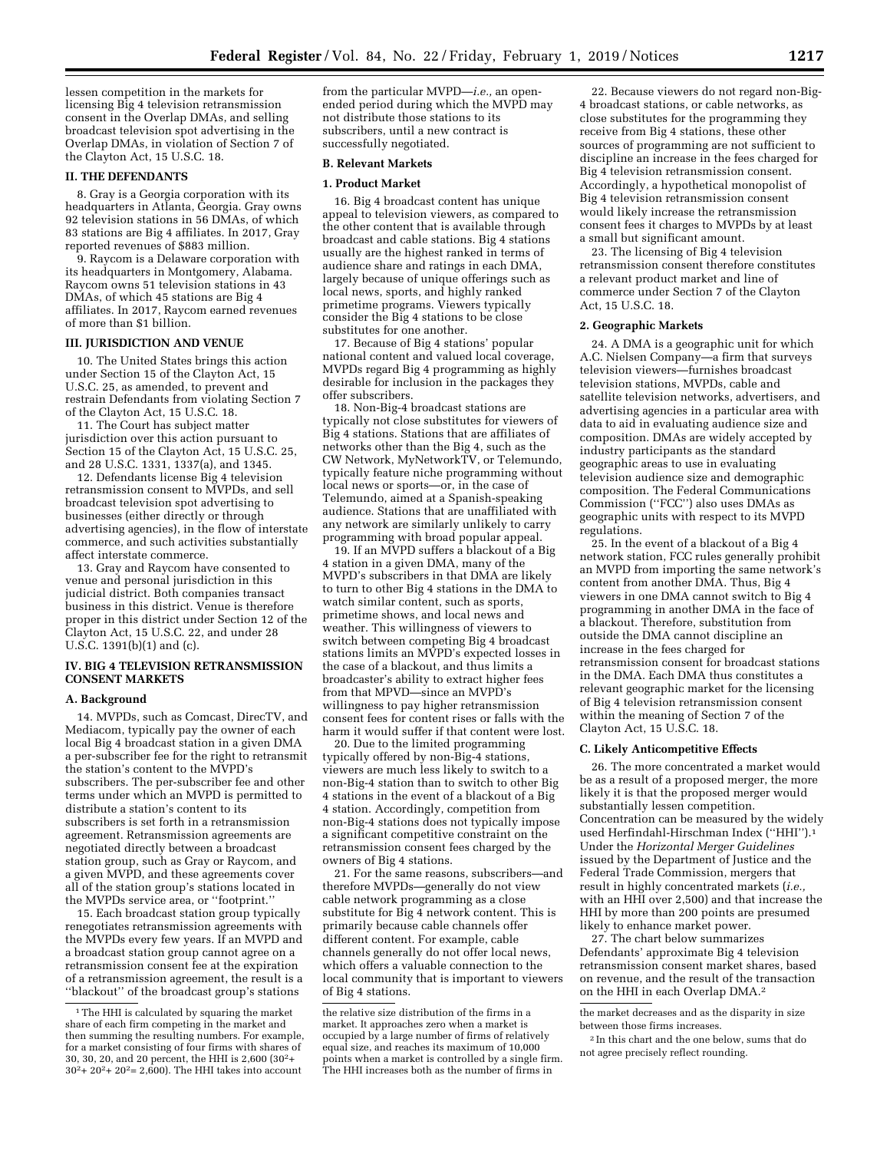lessen competition in the markets for licensing Big 4 television retransmission consent in the Overlap DMAs, and selling broadcast television spot advertising in the Overlap DMAs, in violation of Section 7 of the Clayton Act, 15 U.S.C. 18.

## **II. THE DEFENDANTS**

8. Gray is a Georgia corporation with its headquarters in Atlanta, Georgia. Gray owns 92 television stations in 56 DMAs, of which 83 stations are Big 4 affiliates. In 2017, Gray reported revenues of \$883 million.

9. Raycom is a Delaware corporation with its headquarters in Montgomery, Alabama. Raycom owns 51 television stations in 43 DMAs, of which 45 stations are Big 4 affiliates. In 2017, Raycom earned revenues of more than \$1 billion.

#### **III. JURISDICTION AND VENUE**

10. The United States brings this action under Section 15 of the Clayton Act, 15 U.S.C. 25, as amended, to prevent and restrain Defendants from violating Section 7 of the Clayton Act, 15 U.S.C. 18.

11. The Court has subject matter jurisdiction over this action pursuant to Section 15 of the Clayton Act, 15 U.S.C. 25, and 28 U.S.C. 1331, 1337(a), and 1345.

12. Defendants license Big 4 television retransmission consent to MVPDs, and sell broadcast television spot advertising to businesses (either directly or through advertising agencies), in the flow of interstate commerce, and such activities substantially affect interstate commerce.

13. Gray and Raycom have consented to venue and personal jurisdiction in this judicial district. Both companies transact business in this district. Venue is therefore proper in this district under Section 12 of the Clayton Act, 15 U.S.C. 22, and under 28 U.S.C. 1391(b)(1) and (c).

#### **IV. BIG 4 TELEVISION RETRANSMISSION CONSENT MARKETS**

#### **A. Background**

14. MVPDs, such as Comcast, DirecTV, and Mediacom, typically pay the owner of each local Big 4 broadcast station in a given DMA a per-subscriber fee for the right to retransmit the station's content to the MVPD's subscribers. The per-subscriber fee and other terms under which an MVPD is permitted to distribute a station's content to its subscribers is set forth in a retransmission agreement. Retransmission agreements are negotiated directly between a broadcast station group, such as Gray or Raycom, and a given MVPD, and these agreements cover all of the station group's stations located in the MVPDs service area, or ''footprint.''

15. Each broadcast station group typically renegotiates retransmission agreements with the MVPDs every few years. If an MVPD and a broadcast station group cannot agree on a retransmission consent fee at the expiration of a retransmission agreement, the result is a ''blackout'' of the broadcast group's stations

from the particular MVPD—*i.e.,* an openended period during which the MVPD may not distribute those stations to its subscribers, until a new contract is successfully negotiated.

#### **B. Relevant Markets**

#### **1. Product Market**

16. Big 4 broadcast content has unique appeal to television viewers, as compared to the other content that is available through broadcast and cable stations. Big 4 stations usually are the highest ranked in terms of audience share and ratings in each DMA, largely because of unique offerings such as local news, sports, and highly ranked primetime programs. Viewers typically consider the Big 4 stations to be close substitutes for one another.

17. Because of Big 4 stations' popular national content and valued local coverage, MVPDs regard Big 4 programming as highly desirable for inclusion in the packages they offer subscribers.

18. Non-Big-4 broadcast stations are typically not close substitutes for viewers of Big 4 stations. Stations that are affiliates of networks other than the Big 4, such as the CW Network, MyNetworkTV, or Telemundo, typically feature niche programming without local news or sports—or, in the case of Telemundo, aimed at a Spanish-speaking audience. Stations that are unaffiliated with any network are similarly unlikely to carry programming with broad popular appeal.

19. If an MVPD suffers a blackout of a Big 4 station in a given DMA, many of the MVPD's subscribers in that DMA are likely to turn to other Big 4 stations in the DMA to watch similar content, such as sports, primetime shows, and local news and weather. This willingness of viewers to switch between competing Big 4 broadcast stations limits an MVPD's expected losses in the case of a blackout, and thus limits a broadcaster's ability to extract higher fees from that MPVD—since an MVPD's willingness to pay higher retransmission consent fees for content rises or falls with the harm it would suffer if that content were lost.

20. Due to the limited programming typically offered by non-Big-4 stations, viewers are much less likely to switch to a non-Big-4 station than to switch to other Big 4 stations in the event of a blackout of a Big 4 station. Accordingly, competition from non-Big-4 stations does not typically impose a significant competitive constraint on the retransmission consent fees charged by the owners of Big 4 stations.

21. For the same reasons, subscribers—and therefore MVPDs—generally do not view cable network programming as a close substitute for Big 4 network content. This is primarily because cable channels offer different content. For example, cable channels generally do not offer local news, which offers a valuable connection to the local community that is important to viewers of Big 4 stations.

22. Because viewers do not regard non-Big-4 broadcast stations, or cable networks, as close substitutes for the programming they receive from Big 4 stations, these other sources of programming are not sufficient to discipline an increase in the fees charged for Big 4 television retransmission consent. Accordingly, a hypothetical monopolist of Big 4 television retransmission consent would likely increase the retransmission consent fees it charges to MVPDs by at least a small but significant amount.

23. The licensing of Big 4 television retransmission consent therefore constitutes a relevant product market and line of commerce under Section 7 of the Clayton Act, 15 U.S.C. 18.

# **2. Geographic Markets**

24. A DMA is a geographic unit for which A.C. Nielsen Company—a firm that surveys television viewers—furnishes broadcast television stations, MVPDs, cable and satellite television networks, advertisers, and advertising agencies in a particular area with data to aid in evaluating audience size and composition. DMAs are widely accepted by industry participants as the standard geographic areas to use in evaluating television audience size and demographic composition. The Federal Communications Commission (''FCC'') also uses DMAs as geographic units with respect to its MVPD regulations.

25. In the event of a blackout of a Big 4 network station, FCC rules generally prohibit an MVPD from importing the same network's content from another DMA. Thus, Big 4 viewers in one DMA cannot switch to Big 4 programming in another DMA in the face of a blackout. Therefore, substitution from outside the DMA cannot discipline an increase in the fees charged for retransmission consent for broadcast stations in the DMA. Each DMA thus constitutes a relevant geographic market for the licensing of Big 4 television retransmission consent within the meaning of Section 7 of the Clayton Act, 15 U.S.C. 18.

# **C. Likely Anticompetitive Effects**

26. The more concentrated a market would be as a result of a proposed merger, the more likely it is that the proposed merger would substantially lessen competition. Concentration can be measured by the widely used Herfindahl-Hirschman Index (''HHI'').1 Under the *Horizontal Merger Guidelines*  issued by the Department of Justice and the Federal Trade Commission, mergers that result in highly concentrated markets (*i.e.,*  with an HHI over 2,500) and that increase the HHI by more than 200 points are presumed likely to enhance market power.

27. The chart below summarizes Defendants' approximate Big 4 television retransmission consent market shares, based on revenue, and the result of the transaction on the HHI in each Overlap DMA.2

the market decreases and as the disparity in size between those firms increases.

2 In this chart and the one below, sums that do not agree precisely reflect rounding.

<sup>&</sup>lt;sup>1</sup>The HHI is calculated by squaring the market share of each firm competing in the market and then summing the resulting numbers. For example, for a market consisting of four firms with shares of 30, 30, 20, and 20 percent, the HHI is 2,600 (302+  $30^2 + 20^2 + 20^2 = 2,600$ . The HHI takes into account

the relative size distribution of the firms in a market. It approaches zero when a market is occupied by a large number of firms of relatively equal size, and reaches its maximum of 10,000 points when a market is controlled by a single firm. The HHI increases both as the number of firms in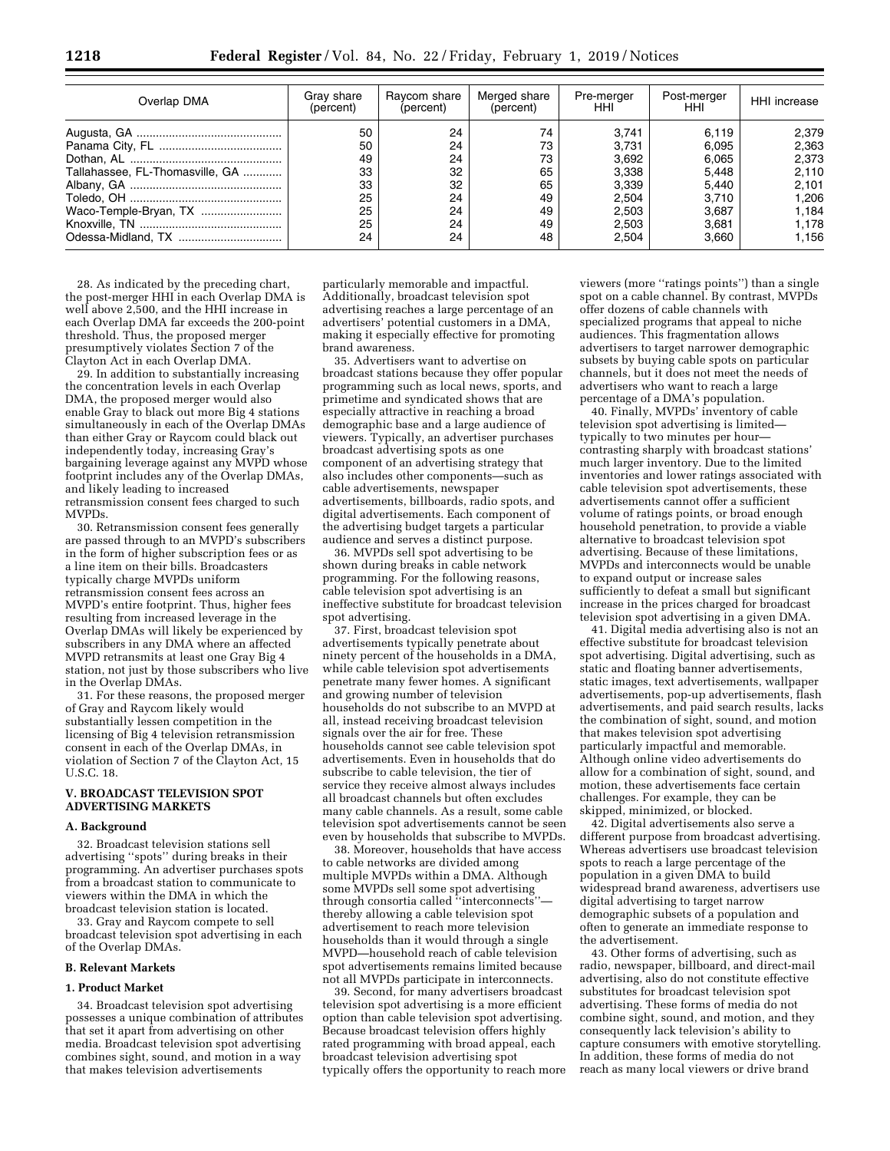| Overlap DMA                     | Gray share<br>(percent) | Raycom share<br>(percent) | Merged share<br>(percent) | Pre-merger<br>HHI | Post-merger<br>HHI. | HHI increase |
|---------------------------------|-------------------------|---------------------------|---------------------------|-------------------|---------------------|--------------|
|                                 | 50                      | 24                        | 74                        | 3.741             | 6.119               | 2,379        |
|                                 | 50                      | 24                        | 73                        | 3.731             | 6.095               | 2,363        |
|                                 | 49                      | 24                        | 73                        | 3,692             | 6.065               | 2,373        |
| Tallahassee, FL-Thomasville, GA | 33                      | 32                        | 65                        | 3,338             | 5.448               | 2,110        |
|                                 | 33                      | 32                        | 65                        | 3.339             | 5.440               | 2.101        |
|                                 | 25                      | 24                        | 49                        | 2,504             | 3.710               | 1.206        |
| Waco-Temple-Bryan, TX           | 25                      | 24                        | 49                        | 2,503             | 3.687               | 1.184        |
|                                 | 25                      | 24                        | 49                        | 2,503             | 3.681               | 1.178        |
|                                 | 24                      | 24                        | 48                        | 2.504             | 3.660               | 1.156        |

28. As indicated by the preceding chart, the post-merger HHI in each Overlap DMA is well above 2,500, and the HHI increase in each Overlap DMA far exceeds the 200-point threshold. Thus, the proposed merger presumptively violates Section 7 of the Clayton Act in each Overlap DMA.

29. In addition to substantially increasing the concentration levels in each Overlap DMA, the proposed merger would also enable Gray to black out more Big 4 stations simultaneously in each of the Overlap DMAs than either Gray or Raycom could black out independently today, increasing Gray's bargaining leverage against any MVPD whose footprint includes any of the Overlap DMAs, and likely leading to increased retransmission consent fees charged to such MVPDs.

30. Retransmission consent fees generally are passed through to an MVPD's subscribers in the form of higher subscription fees or as a line item on their bills. Broadcasters typically charge MVPDs uniform retransmission consent fees across an MVPD's entire footprint. Thus, higher fees resulting from increased leverage in the Overlap DMAs will likely be experienced by subscribers in any DMA where an affected MVPD retransmits at least one Gray Big 4 station, not just by those subscribers who live in the Overlap DMAs.

31. For these reasons, the proposed merger of Gray and Raycom likely would substantially lessen competition in the licensing of Big 4 television retransmission consent in each of the Overlap DMAs, in violation of Section 7 of the Clayton Act, 15 U.S.C. 18.

#### **V. BROADCAST TELEVISION SPOT ADVERTISING MARKETS**

#### **A. Background**

32. Broadcast television stations sell advertising ''spots'' during breaks in their programming. An advertiser purchases spots from a broadcast station to communicate to viewers within the DMA in which the broadcast television station is located.

33. Gray and Raycom compete to sell broadcast television spot advertising in each of the Overlap DMAs.

# **B. Relevant Markets**

#### **1. Product Market**

34. Broadcast television spot advertising possesses a unique combination of attributes that set it apart from advertising on other media. Broadcast television spot advertising combines sight, sound, and motion in a way that makes television advertisements

particularly memorable and impactful. Additionally, broadcast television spot advertising reaches a large percentage of an advertisers' potential customers in a DMA, making it especially effective for promoting brand awareness.

35. Advertisers want to advertise on broadcast stations because they offer popular programming such as local news, sports, and primetime and syndicated shows that are especially attractive in reaching a broad demographic base and a large audience of viewers. Typically, an advertiser purchases broadcast advertising spots as one component of an advertising strategy that also includes other components—such as cable advertisements, newspaper advertisements, billboards, radio spots, and digital advertisements. Each component of the advertising budget targets a particular audience and serves a distinct purpose.

36. MVPDs sell spot advertising to be shown during breaks in cable network programming. For the following reasons, cable television spot advertising is an ineffective substitute for broadcast television spot advertising.

37. First, broadcast television spot advertisements typically penetrate about ninety percent of the households in a DMA, while cable television spot advertisements penetrate many fewer homes. A significant and growing number of television households do not subscribe to an MVPD at all, instead receiving broadcast television signals over the air for free. These households cannot see cable television spot advertisements. Even in households that do subscribe to cable television, the tier of service they receive almost always includes all broadcast channels but often excludes many cable channels. As a result, some cable television spot advertisements cannot be seen even by households that subscribe to MVPDs.

38. Moreover, households that have access to cable networks are divided among multiple MVPDs within a DMA. Although some MVPDs sell some spot advertising through consortia called "interconnects" thereby allowing a cable television spot advertisement to reach more television households than it would through a single MVPD—household reach of cable television spot advertisements remains limited because not all MVPDs participate in interconnects.

39. Second, for many advertisers broadcast television spot advertising is a more efficient option than cable television spot advertising. Because broadcast television offers highly rated programming with broad appeal, each broadcast television advertising spot typically offers the opportunity to reach more

viewers (more ''ratings points'') than a single spot on a cable channel. By contrast, MVPDs offer dozens of cable channels with specialized programs that appeal to niche audiences. This fragmentation allows advertisers to target narrower demographic subsets by buying cable spots on particular channels, but it does not meet the needs of advertisers who want to reach a large percentage of a DMA's population.

40. Finally, MVPDs' inventory of cable television spot advertising is limited typically to two minutes per hour contrasting sharply with broadcast stations' much larger inventory. Due to the limited inventories and lower ratings associated with cable television spot advertisements, these advertisements cannot offer a sufficient volume of ratings points, or broad enough household penetration, to provide a viable alternative to broadcast television spot advertising. Because of these limitations, MVPDs and interconnects would be unable to expand output or increase sales sufficiently to defeat a small but significant increase in the prices charged for broadcast television spot advertising in a given DMA.

41. Digital media advertising also is not an effective substitute for broadcast television spot advertising. Digital advertising, such as static and floating banner advertisements, static images, text advertisements, wallpaper advertisements, pop-up advertisements, flash advertisements, and paid search results, lacks the combination of sight, sound, and motion that makes television spot advertising particularly impactful and memorable. Although online video advertisements do allow for a combination of sight, sound, and motion, these advertisements face certain challenges. For example, they can be skipped, minimized, or blocked.

42. Digital advertisements also serve a different purpose from broadcast advertising. Whereas advertisers use broadcast television spots to reach a large percentage of the population in a given DMA to build widespread brand awareness, advertisers use digital advertising to target narrow demographic subsets of a population and often to generate an immediate response to the advertisement.

43. Other forms of advertising, such as radio, newspaper, billboard, and direct-mail advertising, also do not constitute effective substitutes for broadcast television spot advertising. These forms of media do not combine sight, sound, and motion, and they consequently lack television's ability to capture consumers with emotive storytelling. In addition, these forms of media do not reach as many local viewers or drive brand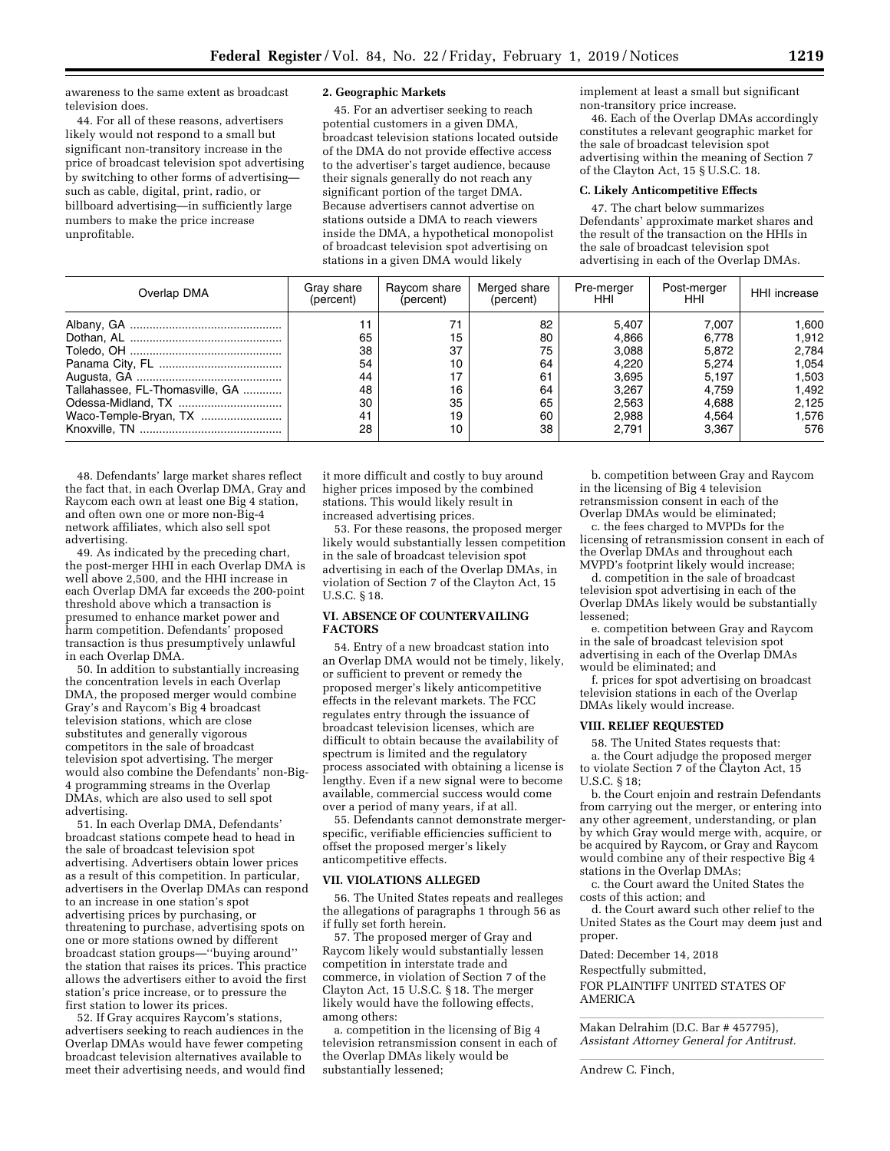awareness to the same extent as broadcast television does.

44. For all of these reasons, advertisers likely would not respond to a small but significant non-transitory increase in the price of broadcast television spot advertising by switching to other forms of advertising such as cable, digital, print, radio, or billboard advertising—in sufficiently large numbers to make the price increase unprofitable.

#### **2. Geographic Markets**

45. For an advertiser seeking to reach potential customers in a given DMA, broadcast television stations located outside of the DMA do not provide effective access to the advertiser's target audience, because their signals generally do not reach any significant portion of the target DMA. Because advertisers cannot advertise on stations outside a DMA to reach viewers inside the DMA, a hypothetical monopolist of broadcast television spot advertising on stations in a given DMA would likely

implement at least a small but significant non-transitory price increase.

46. Each of the Overlap DMAs accordingly constitutes a relevant geographic market for the sale of broadcast television spot advertising within the meaning of Section 7 of the Clayton Act, 15 § U.S.C. 18.

# **C. Likely Anticompetitive Effects**

47. The chart below summarizes Defendants' approximate market shares and the result of the transaction on the HHIs in the sale of broadcast television spot advertising in each of the Overlap DMAs.

| Overlap DMA                     | Gray share<br>(percent) | Ravcom share<br>(percent) | Merged share<br>(percent) | Pre-merger<br>HHI | Post-merger<br>HHI. | <b>HHI</b> increase |
|---------------------------------|-------------------------|---------------------------|---------------------------|-------------------|---------------------|---------------------|
|                                 |                         | 71                        | 82                        | 5.407             | 7.007               | 1.600               |
|                                 | 65                      | 15                        | 80                        | 4.866             | 6.778               | 1.912               |
|                                 | 38                      | 37                        | 75                        | 3.088             | 5.872               | 2.784               |
|                                 | 54                      | 10                        | 64                        | 4.220             | 5.274               | 1.054               |
|                                 | 44                      | 17                        | 61                        | 3.695             | 5.197               | 1.503               |
| Tallahassee, FL-Thomasville, GA | 48                      | 16                        | 64                        | 3.267             | 4.759               | 1.492               |
|                                 | 30                      | 35                        | 65                        | 2,563             | 4.688               | 2,125               |
| Waco-Temple-Bryan, TX           | 41                      | 19                        | 60                        | 2,988             | 4.564               | 1.576               |
|                                 | 28                      | 10                        | 38                        | 2.791             | 3.367               | 576                 |

48. Defendants' large market shares reflect the fact that, in each Overlap DMA, Gray and Raycom each own at least one Big 4 station, and often own one or more non-Big-4 network affiliates, which also sell spot advertising.

49. As indicated by the preceding chart, the post-merger HHI in each Overlap DMA is well above 2,500, and the HHI increase in each Overlap DMA far exceeds the 200-point threshold above which a transaction is presumed to enhance market power and harm competition. Defendants' proposed transaction is thus presumptively unlawful in each Overlap DMA.

50. In addition to substantially increasing the concentration levels in each Overlap DMA, the proposed merger would combine Gray's and Raycom's Big 4 broadcast television stations, which are close substitutes and generally vigorous competitors in the sale of broadcast television spot advertising. The merger would also combine the Defendants' non-Big-4 programming streams in the Overlap DMAs, which are also used to sell spot advertising.

51. In each Overlap DMA, Defendants' broadcast stations compete head to head in the sale of broadcast television spot advertising. Advertisers obtain lower prices as a result of this competition. In particular, advertisers in the Overlap DMAs can respond to an increase in one station's spot advertising prices by purchasing, or threatening to purchase, advertising spots on one or more stations owned by different broadcast station groups—''buying around'' the station that raises its prices. This practice allows the advertisers either to avoid the first station's price increase, or to pressure the first station to lower its prices.

52. If Gray acquires Raycom's stations, advertisers seeking to reach audiences in the Overlap DMAs would have fewer competing broadcast television alternatives available to meet their advertising needs, and would find

it more difficult and costly to buy around higher prices imposed by the combined stations. This would likely result in increased advertising prices.

53. For these reasons, the proposed merger likely would substantially lessen competition in the sale of broadcast television spot advertising in each of the Overlap DMAs, in violation of Section 7 of the Clayton Act, 15 U.S.C. § 18.

# **VI. ABSENCE OF COUNTERVAILING FACTORS**

54. Entry of a new broadcast station into an Overlap DMA would not be timely, likely, or sufficient to prevent or remedy the proposed merger's likely anticompetitive effects in the relevant markets. The FCC regulates entry through the issuance of broadcast television licenses, which are difficult to obtain because the availability of spectrum is limited and the regulatory process associated with obtaining a license is lengthy. Even if a new signal were to become available, commercial success would come over a period of many years, if at all.

55. Defendants cannot demonstrate mergerspecific, verifiable efficiencies sufficient to offset the proposed merger's likely anticompetitive effects.

#### **VII. VIOLATIONS ALLEGED**

56. The United States repeats and realleges the allegations of paragraphs 1 through 56 as if fully set forth herein.

57. The proposed merger of Gray and Raycom likely would substantially lessen competition in interstate trade and commerce, in violation of Section 7 of the Clayton Act, 15 U.S.C. § 18. The merger likely would have the following effects, among others:

a. competition in the licensing of Big 4 television retransmission consent in each of the Overlap DMAs likely would be substantially lessened;

b. competition between Gray and Raycom in the licensing of Big 4 television retransmission consent in each of the Overlap DMAs would be eliminated;

c. the fees charged to MVPDs for the licensing of retransmission consent in each of the Overlap DMAs and throughout each MVPD's footprint likely would increase;

d. competition in the sale of broadcast television spot advertising in each of the Overlap DMAs likely would be substantially lessened;

e. competition between Gray and Raycom in the sale of broadcast television spot advertising in each of the Overlap DMAs would be eliminated; and

f. prices for spot advertising on broadcast television stations in each of the Overlap DMAs likely would increase.

# **VIII. RELIEF REQUESTED**

58. The United States requests that:

a. the Court adjudge the proposed merger to violate Section 7 of the Clayton Act, 15 U.S.C. § 18;

b. the Court enjoin and restrain Defendants from carrying out the merger, or entering into any other agreement, understanding, or plan by which Gray would merge with, acquire, or be acquired by Raycom, or Gray and Raycom would combine any of their respective Big 4 stations in the Overlap DMAs;

c. the Court award the United States the costs of this action; and

d. the Court award such other relief to the United States as the Court may deem just and proper.

Dated: December 14, 2018

Respectfully submitted,

FOR PLAINTIFF UNITED STATES OF AMERICA

Makan Delrahim (D.C. Bar # 457795), *Assistant Attorney General for Antitrust.* 

Andrew C. Finch,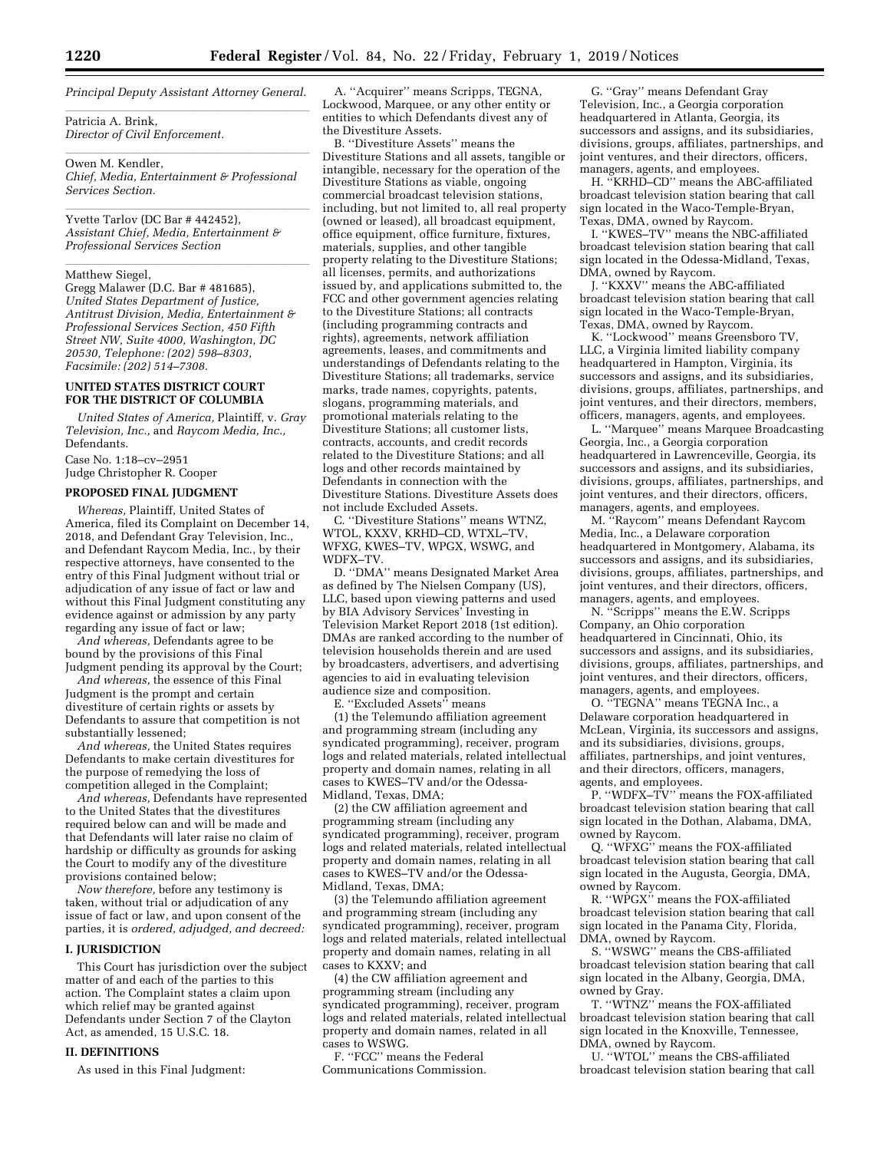*Principal Deputy Assistant Attorney General.* 

Patricia A. Brink, *Director of Civil Enforcement.* 

Owen M. Kendler, *Chief, Media, Entertainment & Professional Services Section.* 

yvette Tarlov (DC Bar # 442452), *Assistant Chief, Media, Entertainment & Professional Services Section* 

# Matthew Siegel, **Matthew Siegel**

Gregg Malawer (D.C. Bar # 481685), *United States Department of Justice, Antitrust Division, Media, Entertainment & Professional Services Section, 450 Fifth Street NW, Suite 4000, Washington, DC 20530, Telephone: (202) 598–8303, Facsimile: (202) 514–7308.* 

# **UNITED STATES DISTRICT COURT FOR THE DISTRICT OF COLUMBIA**

*United States of America,* Plaintiff, v. *Gray Television, Inc.,* and *Raycom Media, Inc.,*  Defendants.

Case No. 1:18–cv–2951 Judge Christopher R. Cooper

# **PROPOSED FINAL JUDGMENT**

*Whereas,* Plaintiff, United States of America, filed its Complaint on December 14, 2018, and Defendant Gray Television, Inc., and Defendant Raycom Media, Inc., by their respective attorneys, have consented to the entry of this Final Judgment without trial or adjudication of any issue of fact or law and without this Final Judgment constituting any evidence against or admission by any party regarding any issue of fact or law;

*And whereas,* Defendants agree to be bound by the provisions of this Final Judgment pending its approval by the Court;

*And whereas,* the essence of this Final Judgment is the prompt and certain divestiture of certain rights or assets by Defendants to assure that competition is not substantially lessened;

*And whereas,* the United States requires Defendants to make certain divestitures for the purpose of remedying the loss of competition alleged in the Complaint;

*And whereas,* Defendants have represented to the United States that the divestitures required below can and will be made and that Defendants will later raise no claim of hardship or difficulty as grounds for asking the Court to modify any of the divestiture provisions contained below;

*Now therefore,* before any testimony is taken, without trial or adjudication of any issue of fact or law, and upon consent of the parties, it is *ordered, adjudged, and decreed:* 

#### **I. JURISDICTION**

This Court has jurisdiction over the subject matter of and each of the parties to this action. The Complaint states a claim upon which relief may be granted against Defendants under Section 7 of the Clayton Act, as amended, 15 U.S.C. 18.

#### **II. DEFINITIONS**

As used in this Final Judgment:

A. ''Acquirer'' means Scripps, TEGNA, Lockwood, Marquee, or any other entity or entities to which Defendants divest any of the Divestiture Assets.

B. ''Divestiture Assets'' means the Divestiture Stations and all assets, tangible or intangible, necessary for the operation of the Divestiture Stations as viable, ongoing commercial broadcast television stations, including, but not limited to, all real property (owned or leased), all broadcast equipment, office equipment, office furniture, fixtures, materials, supplies, and other tangible property relating to the Divestiture Stations; all licenses, permits, and authorizations issued by, and applications submitted to, the FCC and other government agencies relating to the Divestiture Stations; all contracts (including programming contracts and rights), agreements, network affiliation agreements, leases, and commitments and understandings of Defendants relating to the Divestiture Stations; all trademarks, service marks, trade names, copyrights, patents, slogans, programming materials, and promotional materials relating to the Divestiture Stations; all customer lists, contracts, accounts, and credit records related to the Divestiture Stations; and all logs and other records maintained by Defendants in connection with the Divestiture Stations. Divestiture Assets does not include Excluded Assets.

C. ''Divestiture Stations'' means WTNZ, WTOL, KXXV, KRHD–CD, WTXL–TV, WFXG, KWES–TV, WPGX, WSWG, and WDFX–TV.

D. ''DMA'' means Designated Market Area as defined by The Nielsen Company (US), LLC, based upon viewing patterns and used by BIA Advisory Services' Investing in Television Market Report 2018 (1st edition). DMAs are ranked according to the number of television households therein and are used by broadcasters, advertisers, and advertising agencies to aid in evaluating television audience size and composition.

E. "Excluded Assets" means

(1) the Telemundo affiliation agreement and programming stream (including any syndicated programming), receiver, program logs and related materials, related intellectual property and domain names, relating in all cases to KWES–TV and/or the Odessa-Midland, Texas, DMA;

(2) the CW affiliation agreement and programming stream (including any syndicated programming), receiver, program logs and related materials, related intellectual property and domain names, relating in all cases to KWES–TV and/or the Odessa-Midland, Texas, DMA;

(3) the Telemundo affiliation agreement and programming stream (including any syndicated programming), receiver, program logs and related materials, related intellectual property and domain names, relating in all cases to KXXV; and

(4) the CW affiliation agreement and programming stream (including any syndicated programming), receiver, program logs and related materials, related intellectual property and domain names, related in all cases to WSWG.

F. ''FCC'' means the Federal Communications Commission.

G. ''Gray'' means Defendant Gray Television, Inc., a Georgia corporation headquartered in Atlanta, Georgia, its successors and assigns, and its subsidiaries, divisions, groups, affiliates, partnerships, and joint ventures, and their directors, officers, managers, agents, and employees.

H. ''KRHD–CD'' means the ABC-affiliated broadcast television station bearing that call sign located in the Waco-Temple-Bryan, Texas, DMA, owned by Raycom.

I. ''KWES–TV'' means the NBC-affiliated broadcast television station bearing that call sign located in the Odessa-Midland, Texas, DMA, owned by Raycom.

J. ''KXXV'' means the ABC-affiliated broadcast television station bearing that call sign located in the Waco-Temple-Bryan, Texas, DMA, owned by Raycom.

K. ''Lockwood'' means Greensboro TV, LLC, a Virginia limited liability company headquartered in Hampton, Virginia, its successors and assigns, and its subsidiaries, divisions, groups, affiliates, partnerships, and joint ventures, and their directors, members, officers, managers, agents, and employees.

L. ''Marquee'' means Marquee Broadcasting Georgia, Inc., a Georgia corporation headquartered in Lawrenceville, Georgia, its successors and assigns, and its subsidiaries, divisions, groups, affiliates, partnerships, and joint ventures, and their directors, officers, managers, agents, and employees.

M. ''Raycom'' means Defendant Raycom Media, Inc., a Delaware corporation headquartered in Montgomery, Alabama, its successors and assigns, and its subsidiaries, divisions, groups, affiliates, partnerships, and joint ventures, and their directors, officers, managers, agents, and employees.

N. ''Scripps'' means the E.W. Scripps Company, an Ohio corporation headquartered in Cincinnati, Ohio, its successors and assigns, and its subsidiaries, divisions, groups, affiliates, partnerships, and joint ventures, and their directors, officers, managers, agents, and employees.

O. ''TEGNA'' means TEGNA Inc., a Delaware corporation headquartered in McLean, Virginia, its successors and assigns, and its subsidiaries, divisions, groups, affiliates, partnerships, and joint ventures, and their directors, officers, managers, agents, and employees.

P. "WDFX–TV" means the FOX-affiliated broadcast television station bearing that call sign located in the Dothan, Alabama, DMA, owned by Raycom.

Q. ''WFXG'' means the FOX-affiliated broadcast television station bearing that call sign located in the Augusta, Georgia, DMA, owned by Raycom.

R. ''WPGX'' means the FOX-affiliated broadcast television station bearing that call sign located in the Panama City, Florida, DMA, owned by Raycom.

S. ''WSWG'' means the CBS-affiliated broadcast television station bearing that call sign located in the Albany, Georgia, DMA, owned by Gray.

T. ''WTNZ'' means the FOX-affiliated broadcast television station bearing that call sign located in the Knoxville, Tennessee, DMA, owned by Raycom.

U. ''WTOL'' means the CBS-affiliated broadcast television station bearing that call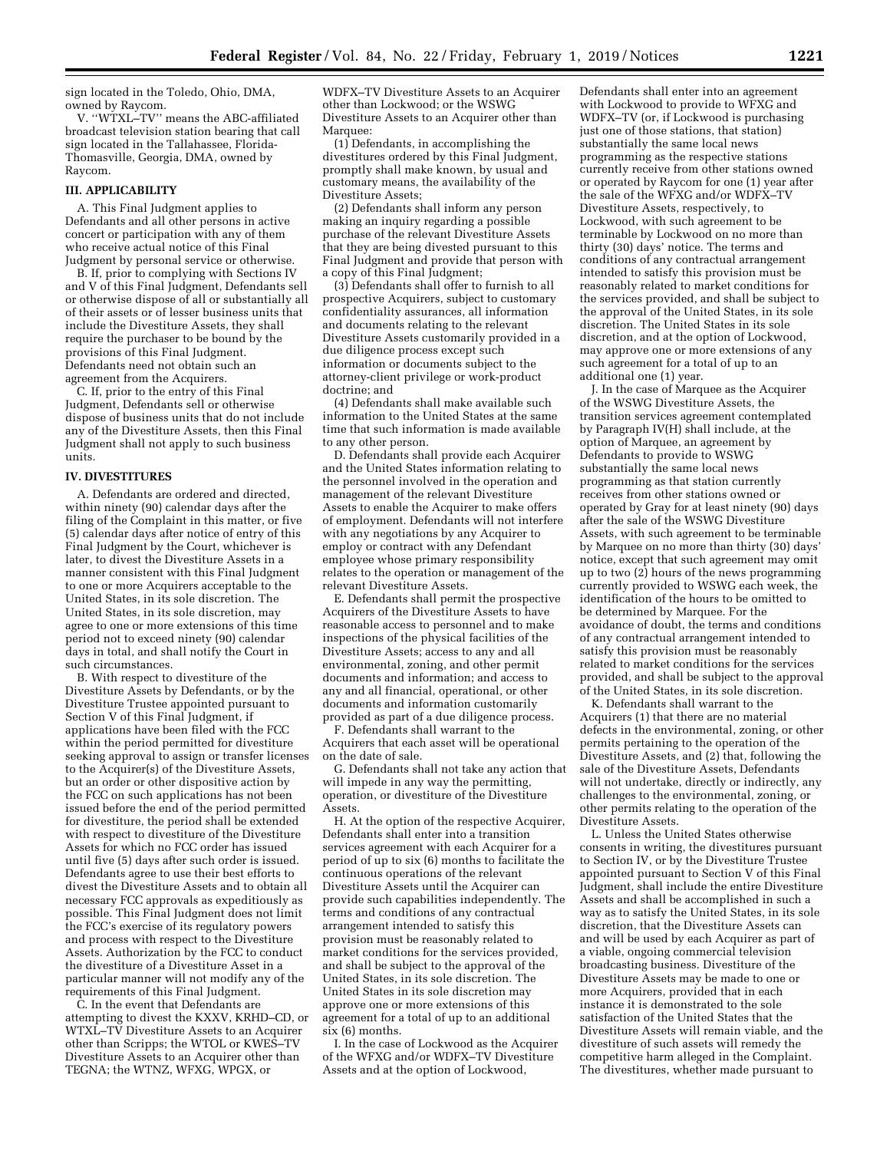sign located in the Toledo, Ohio, DMA, owned by Raycom.

V. ''WTXL–TV'' means the ABC-affiliated broadcast television station bearing that call sign located in the Tallahassee, Florida-Thomasville, Georgia, DMA, owned by Raycom.

# **III. APPLICABILITY**

A. This Final Judgment applies to Defendants and all other persons in active concert or participation with any of them who receive actual notice of this Final Judgment by personal service or otherwise.

B. If, prior to complying with Sections IV and V of this Final Judgment, Defendants sell or otherwise dispose of all or substantially all of their assets or of lesser business units that include the Divestiture Assets, they shall require the purchaser to be bound by the provisions of this Final Judgment. Defendants need not obtain such an agreement from the Acquirers.

C. If, prior to the entry of this Final Judgment, Defendants sell or otherwise dispose of business units that do not include any of the Divestiture Assets, then this Final Judgment shall not apply to such business units.

#### **IV. DIVESTITURES**

A. Defendants are ordered and directed, within ninety (90) calendar days after the filing of the Complaint in this matter, or five (5) calendar days after notice of entry of this Final Judgment by the Court, whichever is later, to divest the Divestiture Assets in a manner consistent with this Final Judgment to one or more Acquirers acceptable to the United States, in its sole discretion. The United States, in its sole discretion, may agree to one or more extensions of this time period not to exceed ninety (90) calendar days in total, and shall notify the Court in such circumstances.

B. With respect to divestiture of the Divestiture Assets by Defendants, or by the Divestiture Trustee appointed pursuant to Section V of this Final Judgment, if applications have been filed with the FCC within the period permitted for divestiture seeking approval to assign or transfer licenses to the Acquirer(s) of the Divestiture Assets, but an order or other dispositive action by the FCC on such applications has not been issued before the end of the period permitted for divestiture, the period shall be extended with respect to divestiture of the Divestiture Assets for which no FCC order has issued until five (5) days after such order is issued. Defendants agree to use their best efforts to divest the Divestiture Assets and to obtain all necessary FCC approvals as expeditiously as possible. This Final Judgment does not limit the FCC's exercise of its regulatory powers and process with respect to the Divestiture Assets. Authorization by the FCC to conduct the divestiture of a Divestiture Asset in a particular manner will not modify any of the requirements of this Final Judgment.

C. In the event that Defendants are attempting to divest the KXXV, KRHD–CD, or WTXL–TV Divestiture Assets to an Acquirer other than Scripps; the WTOL or KWES–TV Divestiture Assets to an Acquirer other than TEGNA; the WTNZ, WFXG, WPGX, or

WDFX–TV Divestiture Assets to an Acquirer other than Lockwood; or the WSWG Divestiture Assets to an Acquirer other than Marquee:

(1) Defendants, in accomplishing the divestitures ordered by this Final Judgment, promptly shall make known, by usual and customary means, the availability of the Divestiture Assets;

(2) Defendants shall inform any person making an inquiry regarding a possible purchase of the relevant Divestiture Assets that they are being divested pursuant to this Final Judgment and provide that person with a copy of this Final Judgment;

(3) Defendants shall offer to furnish to all prospective Acquirers, subject to customary confidentiality assurances, all information and documents relating to the relevant Divestiture Assets customarily provided in a due diligence process except such information or documents subject to the attorney-client privilege or work-product doctrine; and

(4) Defendants shall make available such information to the United States at the same time that such information is made available to any other person.

D. Defendants shall provide each Acquirer and the United States information relating to the personnel involved in the operation and management of the relevant Divestiture Assets to enable the Acquirer to make offers of employment. Defendants will not interfere with any negotiations by any Acquirer to employ or contract with any Defendant employee whose primary responsibility relates to the operation or management of the relevant Divestiture Assets.

E. Defendants shall permit the prospective Acquirers of the Divestiture Assets to have reasonable access to personnel and to make inspections of the physical facilities of the Divestiture Assets; access to any and all environmental, zoning, and other permit documents and information; and access to any and all financial, operational, or other documents and information customarily provided as part of a due diligence process.

F. Defendants shall warrant to the Acquirers that each asset will be operational on the date of sale.

G. Defendants shall not take any action that will impede in any way the permitting, operation, or divestiture of the Divestiture Assets.

H. At the option of the respective Acquirer, Defendants shall enter into a transition services agreement with each Acquirer for a period of up to six (6) months to facilitate the continuous operations of the relevant Divestiture Assets until the Acquirer can provide such capabilities independently. The terms and conditions of any contractual arrangement intended to satisfy this provision must be reasonably related to market conditions for the services provided, and shall be subject to the approval of the United States, in its sole discretion. The United States in its sole discretion may approve one or more extensions of this agreement for a total of up to an additional six (6) months.

I. In the case of Lockwood as the Acquirer of the WFXG and/or WDFX–TV Divestiture Assets and at the option of Lockwood,

Defendants shall enter into an agreement with Lockwood to provide to WFXG and WDFX–TV (or, if Lockwood is purchasing just one of those stations, that station) substantially the same local news programming as the respective stations currently receive from other stations owned or operated by Raycom for one (1) year after the sale of the WFXG and/or WDFX–TV Divestiture Assets, respectively, to Lockwood, with such agreement to be terminable by Lockwood on no more than thirty (30) days' notice. The terms and conditions of any contractual arrangement intended to satisfy this provision must be reasonably related to market conditions for the services provided, and shall be subject to the approval of the United States, in its sole discretion. The United States in its sole discretion, and at the option of Lockwood, may approve one or more extensions of any such agreement for a total of up to an additional one (1) year.

J. In the case of Marquee as the Acquirer of the WSWG Divestiture Assets, the transition services agreement contemplated by Paragraph IV(H) shall include, at the option of Marquee, an agreement by Defendants to provide to WSWG substantially the same local news programming as that station currently receives from other stations owned or operated by Gray for at least ninety (90) days after the sale of the WSWG Divestiture Assets, with such agreement to be terminable by Marquee on no more than thirty (30) days' notice, except that such agreement may omit up to two (2) hours of the news programming currently provided to WSWG each week, the identification of the hours to be omitted to be determined by Marquee. For the avoidance of doubt, the terms and conditions of any contractual arrangement intended to satisfy this provision must be reasonably related to market conditions for the services provided, and shall be subject to the approval of the United States, in its sole discretion.

K. Defendants shall warrant to the Acquirers (1) that there are no material defects in the environmental, zoning, or other permits pertaining to the operation of the Divestiture Assets, and (2) that, following the sale of the Divestiture Assets, Defendants will not undertake, directly or indirectly, any challenges to the environmental, zoning, or other permits relating to the operation of the Divestiture Assets.

L. Unless the United States otherwise consents in writing, the divestitures pursuant to Section IV, or by the Divestiture Trustee appointed pursuant to Section V of this Final Judgment, shall include the entire Divestiture Assets and shall be accomplished in such a way as to satisfy the United States, in its sole discretion, that the Divestiture Assets can and will be used by each Acquirer as part of a viable, ongoing commercial television broadcasting business. Divestiture of the Divestiture Assets may be made to one or more Acquirers, provided that in each instance it is demonstrated to the sole satisfaction of the United States that the Divestiture Assets will remain viable, and the divestiture of such assets will remedy the competitive harm alleged in the Complaint. The divestitures, whether made pursuant to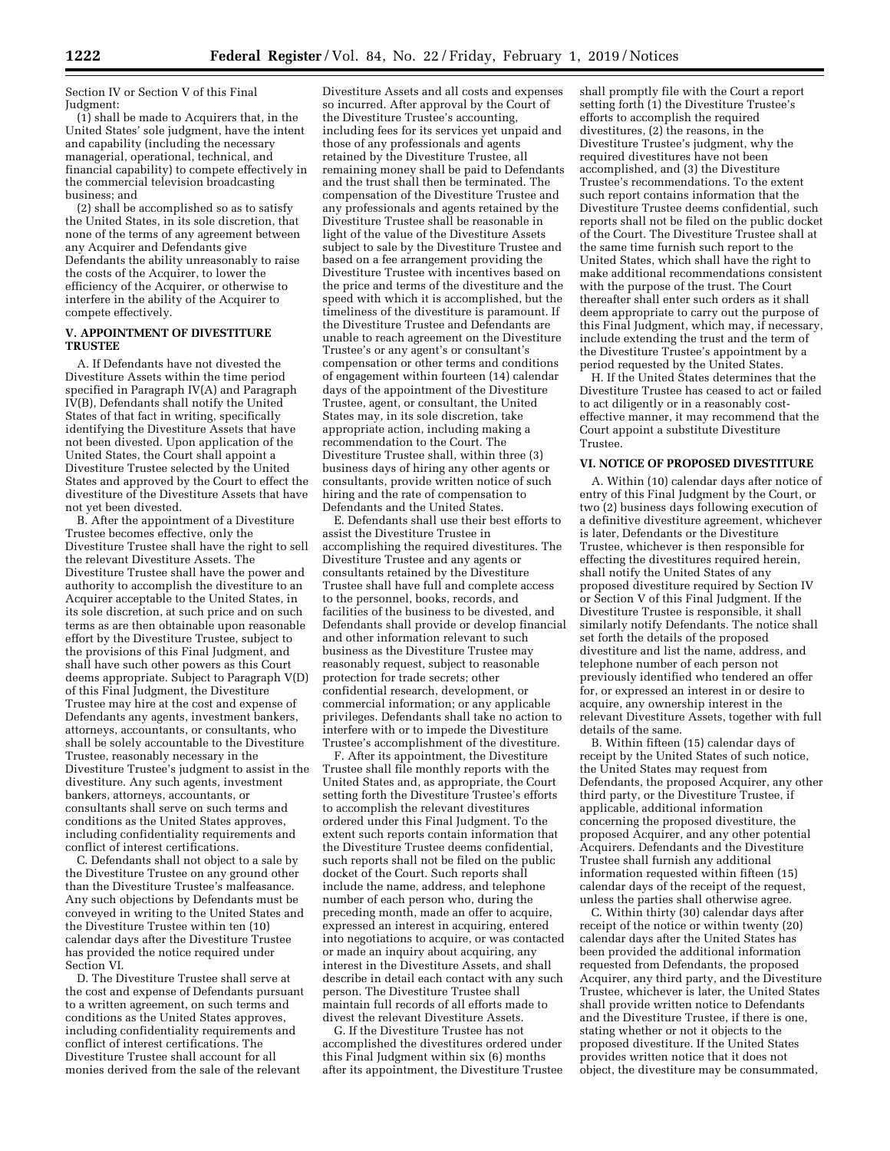Section IV or Section V of this Final Judgment:

(1) shall be made to Acquirers that, in the United States' sole judgment, have the intent and capability (including the necessary managerial, operational, technical, and financial capability) to compete effectively in the commercial television broadcasting business; and

(2) shall be accomplished so as to satisfy the United States, in its sole discretion, that none of the terms of any agreement between any Acquirer and Defendants give Defendants the ability unreasonably to raise the costs of the Acquirer, to lower the efficiency of the Acquirer, or otherwise to interfere in the ability of the Acquirer to compete effectively.

#### **V. APPOINTMENT OF DIVESTITURE TRUSTEE**

A. If Defendants have not divested the Divestiture Assets within the time period specified in Paragraph IV(A) and Paragraph IV(B), Defendants shall notify the United States of that fact in writing, specifically identifying the Divestiture Assets that have not been divested. Upon application of the United States, the Court shall appoint a Divestiture Trustee selected by the United States and approved by the Court to effect the divestiture of the Divestiture Assets that have not yet been divested.

B. After the appointment of a Divestiture Trustee becomes effective, only the Divestiture Trustee shall have the right to sell the relevant Divestiture Assets. The Divestiture Trustee shall have the power and authority to accomplish the divestiture to an Acquirer acceptable to the United States, in its sole discretion, at such price and on such terms as are then obtainable upon reasonable effort by the Divestiture Trustee, subject to the provisions of this Final Judgment, and shall have such other powers as this Court deems appropriate. Subject to Paragraph V(D) of this Final Judgment, the Divestiture Trustee may hire at the cost and expense of Defendants any agents, investment bankers, attorneys, accountants, or consultants, who shall be solely accountable to the Divestiture Trustee, reasonably necessary in the Divestiture Trustee's judgment to assist in the divestiture. Any such agents, investment bankers, attorneys, accountants, or consultants shall serve on such terms and conditions as the United States approves, including confidentiality requirements and conflict of interest certifications.

C. Defendants shall not object to a sale by the Divestiture Trustee on any ground other than the Divestiture Trustee's malfeasance. Any such objections by Defendants must be conveyed in writing to the United States and the Divestiture Trustee within ten (10) calendar days after the Divestiture Trustee has provided the notice required under Section VI.

D. The Divestiture Trustee shall serve at the cost and expense of Defendants pursuant to a written agreement, on such terms and conditions as the United States approves, including confidentiality requirements and conflict of interest certifications. The Divestiture Trustee shall account for all monies derived from the sale of the relevant

Divestiture Assets and all costs and expenses so incurred. After approval by the Court of the Divestiture Trustee's accounting, including fees for its services yet unpaid and those of any professionals and agents retained by the Divestiture Trustee, all remaining money shall be paid to Defendants and the trust shall then be terminated. The compensation of the Divestiture Trustee and any professionals and agents retained by the Divestiture Trustee shall be reasonable in light of the value of the Divestiture Assets subject to sale by the Divestiture Trustee and based on a fee arrangement providing the Divestiture Trustee with incentives based on the price and terms of the divestiture and the speed with which it is accomplished, but the timeliness of the divestiture is paramount. If the Divestiture Trustee and Defendants are unable to reach agreement on the Divestiture Trustee's or any agent's or consultant's compensation or other terms and conditions of engagement within fourteen (14) calendar days of the appointment of the Divestiture Trustee, agent, or consultant, the United States may, in its sole discretion, take appropriate action, including making a recommendation to the Court. The Divestiture Trustee shall, within three (3) business days of hiring any other agents or consultants, provide written notice of such hiring and the rate of compensation to Defendants and the United States.

E. Defendants shall use their best efforts to assist the Divestiture Trustee in accomplishing the required divestitures. The Divestiture Trustee and any agents or consultants retained by the Divestiture Trustee shall have full and complete access to the personnel, books, records, and facilities of the business to be divested, and Defendants shall provide or develop financial and other information relevant to such business as the Divestiture Trustee may reasonably request, subject to reasonable protection for trade secrets; other confidential research, development, or commercial information; or any applicable privileges. Defendants shall take no action to interfere with or to impede the Divestiture Trustee's accomplishment of the divestiture.

F. After its appointment, the Divestiture Trustee shall file monthly reports with the United States and, as appropriate, the Court setting forth the Divestiture Trustee's efforts to accomplish the relevant divestitures ordered under this Final Judgment. To the extent such reports contain information that the Divestiture Trustee deems confidential, such reports shall not be filed on the public docket of the Court. Such reports shall include the name, address, and telephone number of each person who, during the preceding month, made an offer to acquire, expressed an interest in acquiring, entered into negotiations to acquire, or was contacted or made an inquiry about acquiring, any interest in the Divestiture Assets, and shall describe in detail each contact with any such person. The Divestiture Trustee shall maintain full records of all efforts made to divest the relevant Divestiture Assets.

G. If the Divestiture Trustee has not accomplished the divestitures ordered under this Final Judgment within six (6) months after its appointment, the Divestiture Trustee

shall promptly file with the Court a report setting forth (1) the Divestiture Trustee's efforts to accomplish the required divestitures, (2) the reasons, in the Divestiture Trustee's judgment, why the required divestitures have not been accomplished, and (3) the Divestiture Trustee's recommendations. To the extent such report contains information that the Divestiture Trustee deems confidential, such reports shall not be filed on the public docket of the Court. The Divestiture Trustee shall at the same time furnish such report to the United States, which shall have the right to make additional recommendations consistent with the purpose of the trust. The Court thereafter shall enter such orders as it shall deem appropriate to carry out the purpose of this Final Judgment, which may, if necessary, include extending the trust and the term of the Divestiture Trustee's appointment by a period requested by the United States.

H. If the United States determines that the Divestiture Trustee has ceased to act or failed to act diligently or in a reasonably costeffective manner, it may recommend that the Court appoint a substitute Divestiture Trustee.

#### **VI. NOTICE OF PROPOSED DIVESTITURE**

A. Within (10) calendar days after notice of entry of this Final Judgment by the Court, or two (2) business days following execution of a definitive divestiture agreement, whichever is later, Defendants or the Divestiture Trustee, whichever is then responsible for effecting the divestitures required herein, shall notify the United States of any proposed divestiture required by Section IV or Section V of this Final Judgment. If the Divestiture Trustee is responsible, it shall similarly notify Defendants. The notice shall set forth the details of the proposed divestiture and list the name, address, and telephone number of each person not previously identified who tendered an offer for, or expressed an interest in or desire to acquire, any ownership interest in the relevant Divestiture Assets, together with full details of the same.

B. Within fifteen (15) calendar days of receipt by the United States of such notice, the United States may request from Defendants, the proposed Acquirer, any other third party, or the Divestiture Trustee, if applicable, additional information concerning the proposed divestiture, the proposed Acquirer, and any other potential Acquirers. Defendants and the Divestiture Trustee shall furnish any additional information requested within fifteen (15) calendar days of the receipt of the request, unless the parties shall otherwise agree.

C. Within thirty (30) calendar days after receipt of the notice or within twenty (20) calendar days after the United States has been provided the additional information requested from Defendants, the proposed Acquirer, any third party, and the Divestiture Trustee, whichever is later, the United States shall provide written notice to Defendants and the Divestiture Trustee, if there is one, stating whether or not it objects to the proposed divestiture. If the United States provides written notice that it does not object, the divestiture may be consummated,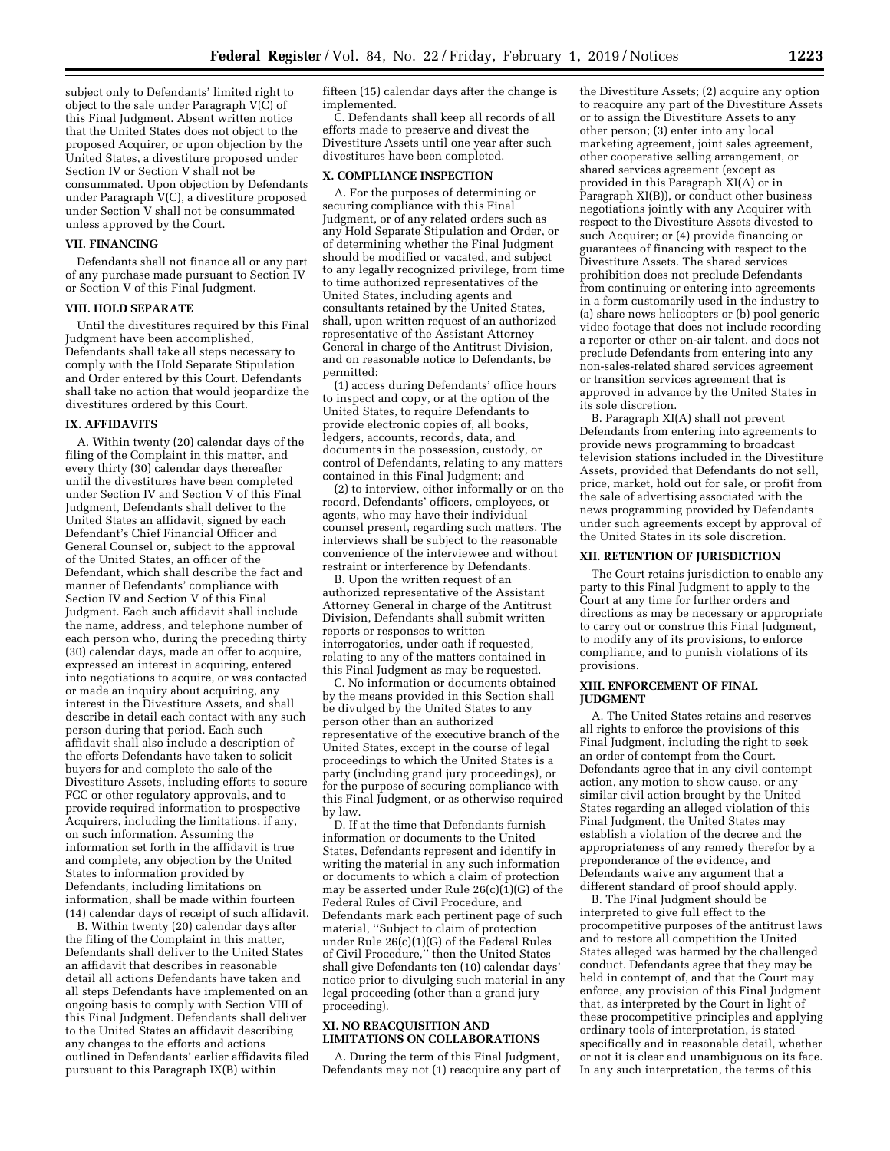subject only to Defendants' limited right to object to the sale under Paragraph V(C) of this Final Judgment. Absent written notice that the United States does not object to the proposed Acquirer, or upon objection by the United States, a divestiture proposed under Section IV or Section V shall not be consummated. Upon objection by Defendants under Paragraph V(C), a divestiture proposed under Section V shall not be consummated unless approved by the Court.

#### **VII. FINANCING**

Defendants shall not finance all or any part of any purchase made pursuant to Section IV or Section V of this Final Judgment.

#### **VIII. HOLD SEPARATE**

Until the divestitures required by this Final Judgment have been accomplished, Defendants shall take all steps necessary to comply with the Hold Separate Stipulation and Order entered by this Court. Defendants shall take no action that would jeopardize the divestitures ordered by this Court.

#### **IX. AFFIDAVITS**

A. Within twenty (20) calendar days of the filing of the Complaint in this matter, and every thirty (30) calendar days thereafter until the divestitures have been completed under Section IV and Section V of this Final Judgment, Defendants shall deliver to the United States an affidavit, signed by each Defendant's Chief Financial Officer and General Counsel or, subject to the approval of the United States, an officer of the Defendant, which shall describe the fact and manner of Defendants' compliance with Section IV and Section V of this Final Judgment. Each such affidavit shall include the name, address, and telephone number of each person who, during the preceding thirty (30) calendar days, made an offer to acquire, expressed an interest in acquiring, entered into negotiations to acquire, or was contacted or made an inquiry about acquiring, any interest in the Divestiture Assets, and shall describe in detail each contact with any such person during that period. Each such affidavit shall also include a description of the efforts Defendants have taken to solicit buyers for and complete the sale of the Divestiture Assets, including efforts to secure FCC or other regulatory approvals, and to provide required information to prospective Acquirers, including the limitations, if any, on such information. Assuming the information set forth in the affidavit is true and complete, any objection by the United States to information provided by Defendants, including limitations on information, shall be made within fourteen (14) calendar days of receipt of such affidavit.

B. Within twenty (20) calendar days after the filing of the Complaint in this matter, Defendants shall deliver to the United States an affidavit that describes in reasonable detail all actions Defendants have taken and all steps Defendants have implemented on an ongoing basis to comply with Section VIII of this Final Judgment. Defendants shall deliver to the United States an affidavit describing any changes to the efforts and actions outlined in Defendants' earlier affidavits filed pursuant to this Paragraph IX(B) within

fifteen (15) calendar days after the change is implemented.

C. Defendants shall keep all records of all efforts made to preserve and divest the Divestiture Assets until one year after such divestitures have been completed.

# **X. COMPLIANCE INSPECTION**

A. For the purposes of determining or securing compliance with this Final Judgment, or of any related orders such as any Hold Separate Stipulation and Order, or of determining whether the Final Judgment should be modified or vacated, and subject to any legally recognized privilege, from time to time authorized representatives of the United States, including agents and consultants retained by the United States, shall, upon written request of an authorized representative of the Assistant Attorney General in charge of the Antitrust Division, and on reasonable notice to Defendants, be permitted:

(1) access during Defendants' office hours to inspect and copy, or at the option of the United States, to require Defendants to provide electronic copies of, all books, ledgers, accounts, records, data, and documents in the possession, custody, or control of Defendants, relating to any matters contained in this Final Judgment; and

(2) to interview, either informally or on the record, Defendants' officers, employees, or agents, who may have their individual counsel present, regarding such matters. The interviews shall be subject to the reasonable convenience of the interviewee and without restraint or interference by Defendants.

B. Upon the written request of an authorized representative of the Assistant Attorney General in charge of the Antitrust Division, Defendants shall submit written reports or responses to written interrogatories, under oath if requested, relating to any of the matters contained in this Final Judgment as may be requested.

C. No information or documents obtained by the means provided in this Section shall be divulged by the United States to any person other than an authorized representative of the executive branch of the United States, except in the course of legal proceedings to which the United States is a party (including grand jury proceedings), or for the purpose of securing compliance with this Final Judgment, or as otherwise required by law.

D. If at the time that Defendants furnish information or documents to the United States, Defendants represent and identify in writing the material in any such information or documents to which a claim of protection may be asserted under Rule 26(c)(1)(G) of the Federal Rules of Civil Procedure, and Defendants mark each pertinent page of such material, ''Subject to claim of protection under Rule  $26(c)(1)(G)$  of the Federal Rules of Civil Procedure,'' then the United States shall give Defendants ten (10) calendar days' notice prior to divulging such material in any legal proceeding (other than a grand jury proceeding).

#### **XI. NO REACQUISITION AND LIMITATIONS ON COLLABORATIONS**

A. During the term of this Final Judgment, Defendants may not (1) reacquire any part of

the Divestiture Assets; (2) acquire any option to reacquire any part of the Divestiture Assets or to assign the Divestiture Assets to any other person; (3) enter into any local marketing agreement, joint sales agreement, other cooperative selling arrangement, or shared services agreement (except as provided in this Paragraph XI(A) or in Paragraph XI(B)), or conduct other business negotiations jointly with any Acquirer with respect to the Divestiture Assets divested to such Acquirer; or (4) provide financing or guarantees of financing with respect to the Divestiture Assets. The shared services prohibition does not preclude Defendants from continuing or entering into agreements in a form customarily used in the industry to (a) share news helicopters or (b) pool generic video footage that does not include recording a reporter or other on-air talent, and does not preclude Defendants from entering into any non-sales-related shared services agreement or transition services agreement that is approved in advance by the United States in its sole discretion.

B. Paragraph XI(A) shall not prevent Defendants from entering into agreements to provide news programming to broadcast television stations included in the Divestiture Assets, provided that Defendants do not sell, price, market, hold out for sale, or profit from the sale of advertising associated with the news programming provided by Defendants under such agreements except by approval of the United States in its sole discretion.

# **XII. RETENTION OF JURISDICTION**

The Court retains jurisdiction to enable any party to this Final Judgment to apply to the Court at any time for further orders and directions as may be necessary or appropriate to carry out or construe this Final Judgment, to modify any of its provisions, to enforce compliance, and to punish violations of its provisions.

#### **XIII. ENFORCEMENT OF FINAL JUDGMENT**

A. The United States retains and reserves all rights to enforce the provisions of this Final Judgment, including the right to seek an order of contempt from the Court. Defendants agree that in any civil contempt action, any motion to show cause, or any similar civil action brought by the United States regarding an alleged violation of this Final Judgment, the United States may establish a violation of the decree and the appropriateness of any remedy therefor by a preponderance of the evidence, and Defendants waive any argument that a different standard of proof should apply.

B. The Final Judgment should be interpreted to give full effect to the procompetitive purposes of the antitrust laws and to restore all competition the United States alleged was harmed by the challenged conduct. Defendants agree that they may be held in contempt of, and that the Court may enforce, any provision of this Final Judgment that, as interpreted by the Court in light of these procompetitive principles and applying ordinary tools of interpretation, is stated specifically and in reasonable detail, whether or not it is clear and unambiguous on its face. In any such interpretation, the terms of this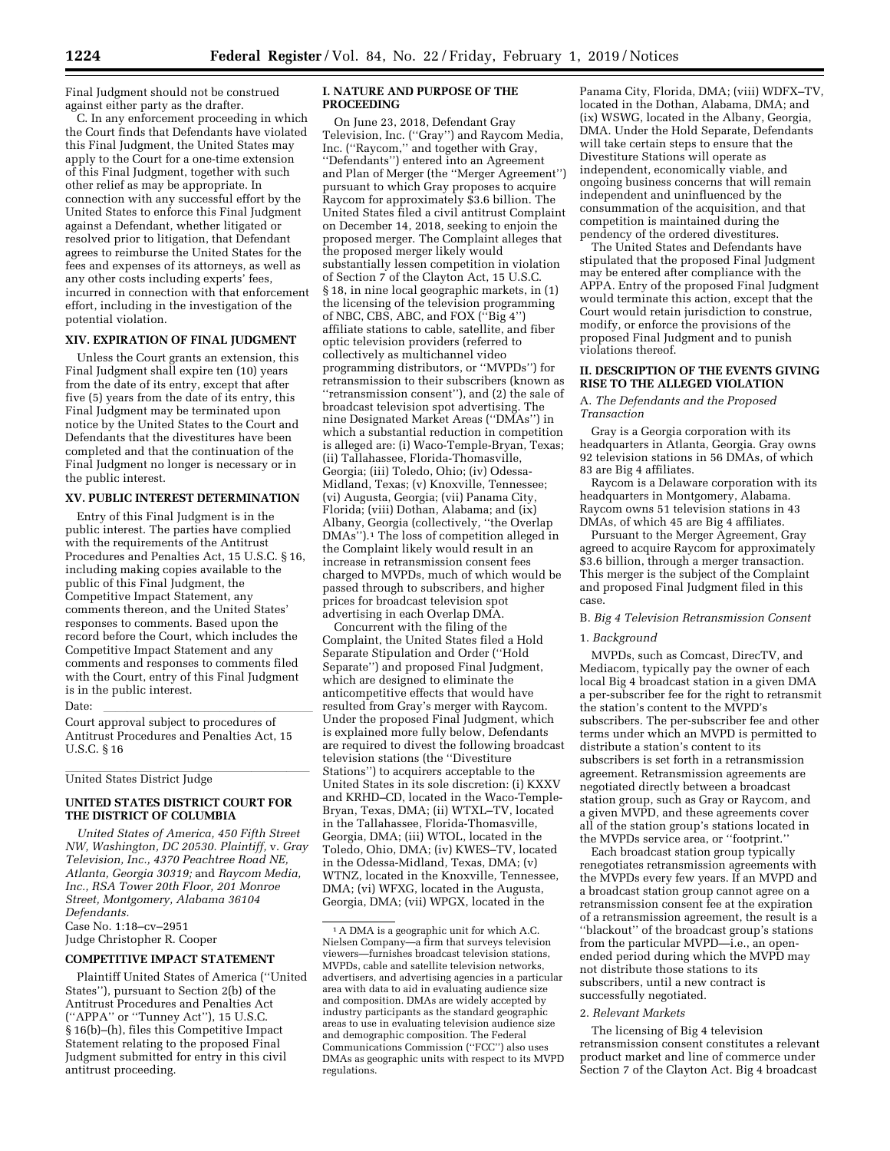Final Judgment should not be construed against either party as the drafter.

C. In any enforcement proceeding in which the Court finds that Defendants have violated this Final Judgment, the United States may apply to the Court for a one-time extension of this Final Judgment, together with such other relief as may be appropriate. In connection with any successful effort by the United States to enforce this Final Judgment against a Defendant, whether litigated or resolved prior to litigation, that Defendant agrees to reimburse the United States for the fees and expenses of its attorneys, as well as any other costs including experts' fees, incurred in connection with that enforcement effort, including in the investigation of the potential violation.

# **XIV. EXPIRATION OF FINAL JUDGMENT**

Unless the Court grants an extension, this Final Judgment shall expire ten (10) years from the date of its entry, except that after five (5) years from the date of its entry, this Final Judgment may be terminated upon notice by the United States to the Court and Defendants that the divestitures have been completed and that the continuation of the Final Judgment no longer is necessary or in the public interest.

#### **XV. PUBLIC INTEREST DETERMINATION**

Entry of this Final Judgment is in the public interest. The parties have complied with the requirements of the Antitrust Procedures and Penalties Act, 15 U.S.C. § 16, including making copies available to the public of this Final Judgment, the Competitive Impact Statement, any comments thereon, and the United States' responses to comments. Based upon the record before the Court, which includes the Competitive Impact Statement and any comments and responses to comments filed with the Court, entry of this Final Judgment is in the public interest.

Date:<br>Court approval subject to procedures of Antitrust Procedures and Penalties Act, 15 U.S.C. § 16

United States District Judge

## **UNITED STATES DISTRICT COURT FOR THE DISTRICT OF COLUMBIA**

*United States of America, 450 Fifth Street NW, Washington, DC 20530. Plaintiff,* v. *Gray Television, Inc., 4370 Peachtree Road NE, Atlanta, Georgia 30319;* and *Raycom Media, Inc., RSA Tower 20th Floor, 201 Monroe Street, Montgomery, Alabama 36104 Defendants.*  Case No. 1:18–cv–2951 Judge Christopher R. Cooper

## **COMPETITIVE IMPACT STATEMENT**

Plaintiff United States of America (''United States''), pursuant to Section 2(b) of the Antitrust Procedures and Penalties Act (''APPA'' or ''Tunney Act''), 15 U.S.C. § 16(b)–(h), files this Competitive Impact Statement relating to the proposed Final Judgment submitted for entry in this civil antitrust proceeding.

#### **I. NATURE AND PURPOSE OF THE PROCEEDING**

On June 23, 2018, Defendant Gray Television, Inc. (''Gray'') and Raycom Media, Inc. (''Raycom,'' and together with Gray, ''Defendants'') entered into an Agreement and Plan of Merger (the ''Merger Agreement'') pursuant to which Gray proposes to acquire Raycom for approximately \$3.6 billion. The United States filed a civil antitrust Complaint on December 14, 2018, seeking to enjoin the proposed merger. The Complaint alleges that the proposed merger likely would substantially lessen competition in violation of Section 7 of the Clayton Act, 15 U.S.C. § 18, in nine local geographic markets, in (1) the licensing of the television programming of NBC, CBS, ABC, and FOX (''Big 4'') affiliate stations to cable, satellite, and fiber optic television providers (referred to collectively as multichannel video programming distributors, or ''MVPDs'') for retransmission to their subscribers (known as ''retransmission consent''), and (2) the sale of broadcast television spot advertising. The nine Designated Market Areas (''DMAs'') in which a substantial reduction in competition is alleged are: (i) Waco-Temple-Bryan, Texas; (ii) Tallahassee, Florida-Thomasville, Georgia; (iii) Toledo, Ohio; (iv) Odessa-Midland, Texas; (v) Knoxville, Tennessee; (vi) Augusta, Georgia; (vii) Panama City, Florida; (viii) Dothan, Alabama; and (ix) Albany, Georgia (collectively, ''the Overlap DMAs'').1 The loss of competition alleged in the Complaint likely would result in an increase in retransmission consent fees charged to MVPDs, much of which would be passed through to subscribers, and higher prices for broadcast television spot advertising in each Overlap DMA.

Concurrent with the filing of the Complaint, the United States filed a Hold Separate Stipulation and Order (''Hold Separate'') and proposed Final Judgment, which are designed to eliminate the anticompetitive effects that would have resulted from Gray's merger with Raycom. Under the proposed Final Judgment, which is explained more fully below, Defendants are required to divest the following broadcast television stations (the ''Divestiture Stations'') to acquirers acceptable to the United States in its sole discretion: (i) KXXV and KRHD–CD, located in the Waco-Temple-Bryan, Texas, DMA; (ii) WTXL–TV, located in the Tallahassee, Florida-Thomasville, Georgia, DMA; (iii) WTOL, located in the Toledo, Ohio, DMA; (iv) KWES–TV, located in the Odessa-Midland, Texas, DMA; (v) WTNZ, located in the Knoxville, Tennessee, DMA; (vi) WFXG, located in the Augusta, Georgia, DMA; (vii) WPGX, located in the

Panama City, Florida, DMA; (viii) WDFX–TV, located in the Dothan, Alabama, DMA; and (ix) WSWG, located in the Albany, Georgia, DMA. Under the Hold Separate, Defendants will take certain steps to ensure that the Divestiture Stations will operate as independent, economically viable, and ongoing business concerns that will remain independent and uninfluenced by the consummation of the acquisition, and that competition is maintained during the pendency of the ordered divestitures.

The United States and Defendants have stipulated that the proposed Final Judgment may be entered after compliance with the APPA. Entry of the proposed Final Judgment would terminate this action, except that the Court would retain jurisdiction to construe, modify, or enforce the provisions of the proposed Final Judgment and to punish violations thereof.

#### **II. DESCRIPTION OF THE EVENTS GIVING RISE TO THE ALLEGED VIOLATION**

A. *The Defendants and the Proposed Transaction* 

Gray is a Georgia corporation with its headquarters in Atlanta, Georgia. Gray owns 92 television stations in 56 DMAs, of which 83 are Big 4 affiliates.

Raycom is a Delaware corporation with its headquarters in Montgomery, Alabama. Raycom owns 51 television stations in 43 DMAs, of which 45 are Big 4 affiliates.

Pursuant to the Merger Agreement, Gray agreed to acquire Raycom for approximately \$3.6 billion, through a merger transaction. This merger is the subject of the Complaint and proposed Final Judgment filed in this case.

#### B. *Big 4 Television Retransmission Consent*

## 1. *Background*

MVPDs, such as Comcast, DirecTV, and Mediacom, typically pay the owner of each local Big 4 broadcast station in a given DMA a per-subscriber fee for the right to retransmit the station's content to the MVPD's subscribers. The per-subscriber fee and other terms under which an MVPD is permitted to distribute a station's content to its subscribers is set forth in a retransmission agreement. Retransmission agreements are negotiated directly between a broadcast station group, such as Gray or Raycom, and a given MVPD, and these agreements cover all of the station group's stations located in the MVPDs service area, or ''footprint.''

Each broadcast station group typically renegotiates retransmission agreements with the MVPDs every few years. If an MVPD and a broadcast station group cannot agree on a retransmission consent fee at the expiration of a retransmission agreement, the result is a ''blackout'' of the broadcast group's stations from the particular MVPD—i.e., an openended period during which the MVPD may not distribute those stations to its subscribers, until a new contract is successfully negotiated.

#### 2. *Relevant Markets*

The licensing of Big 4 television retransmission consent constitutes a relevant product market and line of commerce under Section 7 of the Clayton Act. Big 4 broadcast

<sup>1</sup>A DMA is a geographic unit for which A.C. Nielsen Company—a firm that surveys television viewers—furnishes broadcast television stations, MVPDs, cable and satellite television networks, advertisers, and advertising agencies in a particular area with data to aid in evaluating audience size and composition. DMAs are widely accepted by industry participants as the standard geographic areas to use in evaluating television audience size and demographic composition. The Federal Communications Commission (''FCC'') also uses DMAs as geographic units with respect to its MVPD regulations.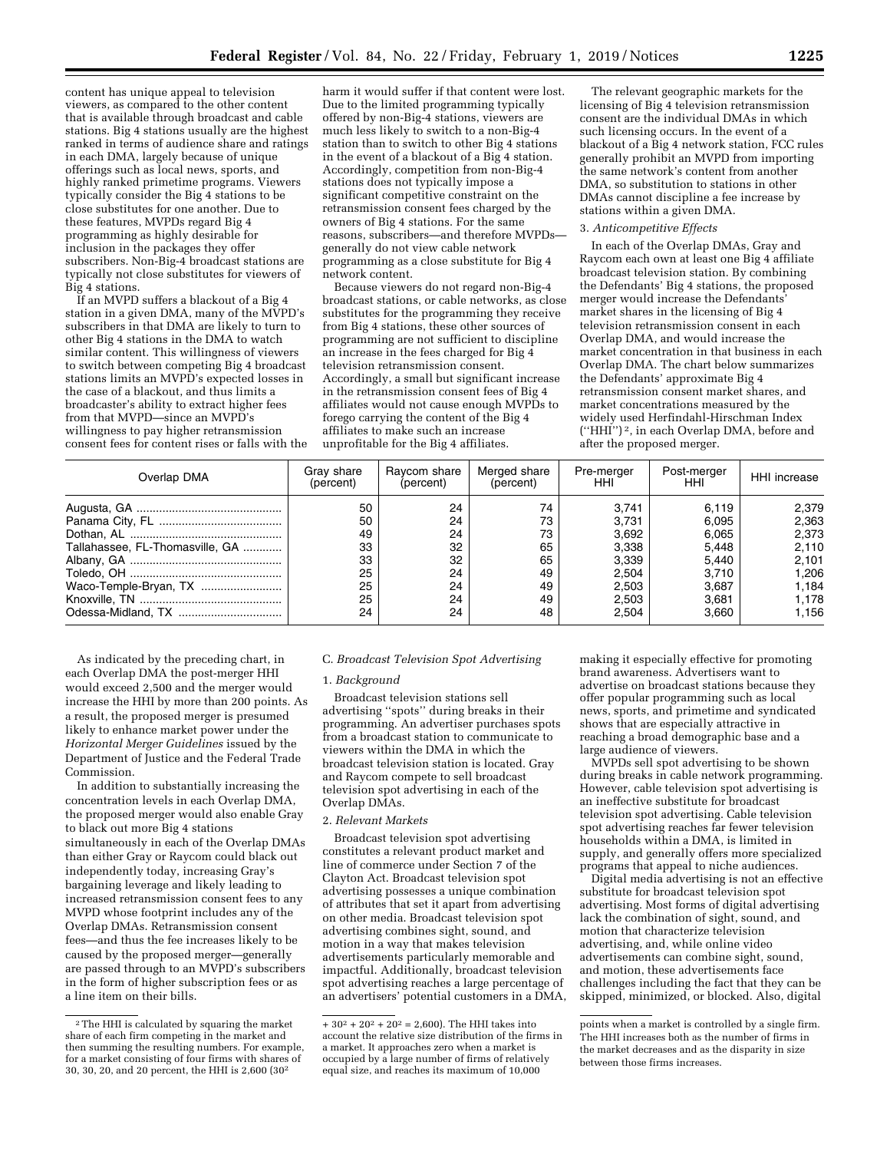content has unique appeal to television viewers, as compared to the other content that is available through broadcast and cable stations. Big 4 stations usually are the highest ranked in terms of audience share and ratings in each DMA, largely because of unique offerings such as local news, sports, and highly ranked primetime programs. Viewers typically consider the Big 4 stations to be close substitutes for one another. Due to these features, MVPDs regard Big 4 programming as highly desirable for inclusion in the packages they offer subscribers. Non-Big-4 broadcast stations are typically not close substitutes for viewers of Big 4 stations.

If an MVPD suffers a blackout of a Big 4 station in a given DMA, many of the MVPD's subscribers in that DMA are likely to turn to other Big 4 stations in the DMA to watch similar content. This willingness of viewers to switch between competing Big 4 broadcast stations limits an MVPD's expected losses in the case of a blackout, and thus limits a broadcaster's ability to extract higher fees from that MVPD—since an MVPD's willingness to pay higher retransmission consent fees for content rises or falls with the

harm it would suffer if that content were lost. Due to the limited programming typically offered by non-Big-4 stations, viewers are much less likely to switch to a non-Big-4 station than to switch to other Big 4 stations in the event of a blackout of a Big 4 station. Accordingly, competition from non-Big-4 stations does not typically impose a significant competitive constraint on the retransmission consent fees charged by the owners of Big 4 stations. For the same reasons, subscribers—and therefore MVPDs generally do not view cable network programming as a close substitute for Big 4 network content.

Because viewers do not regard non-Big-4 broadcast stations, or cable networks, as close substitutes for the programming they receive from Big 4 stations, these other sources of programming are not sufficient to discipline an increase in the fees charged for Big 4 television retransmission consent. Accordingly, a small but significant increase in the retransmission consent fees of Big 4 affiliates would not cause enough MVPDs to forego carrying the content of the Big 4 affiliates to make such an increase unprofitable for the Big 4 affiliates.

The relevant geographic markets for the licensing of Big 4 television retransmission consent are the individual DMAs in which such licensing occurs. In the event of a blackout of a Big 4 network station, FCC rules generally prohibit an MVPD from importing the same network's content from another DMA, so substitution to stations in other DMAs cannot discipline a fee increase by stations within a given DMA.

# 3. *Anticompetitive Effects*

In each of the Overlap DMAs, Gray and Raycom each own at least one Big 4 affiliate broadcast television station. By combining the Defendants' Big 4 stations, the proposed merger would increase the Defendants' market shares in the licensing of Big 4 television retransmission consent in each Overlap DMA, and would increase the market concentration in that business in each Overlap DMA. The chart below summarizes the Defendants' approximate Big 4 retransmission consent market shares, and market concentrations measured by the widely used Herfindahl-Hirschman Index (''HHI'') 2, in each Overlap DMA, before and after the proposed merger.

| Overlap DMA                     | Gray share<br>(percent) | Ravcom share<br>(percent) | Merged share<br>(percent) | Pre-merger<br>HHI | Post-merger<br><b>HHI</b> | HHI increase |
|---------------------------------|-------------------------|---------------------------|---------------------------|-------------------|---------------------------|--------------|
|                                 | 50                      | 24                        | 74                        | 3.741             | 6.119                     | 2,379        |
|                                 | 50                      | 24                        | 73                        | 3.731             | 6.095                     | 2,363        |
|                                 | 49                      | 24                        | 73                        | 3.692             | 6.065                     | 2,373        |
| Tallahassee, FL-Thomasville, GA | 33                      | 32                        | 65                        | 3,338             | 5.448                     | 2,110        |
|                                 | 33                      | 32                        | 65                        | 3,339             | 5,440                     | 2,101        |
|                                 | 25                      | 24                        | 49                        | 2.504             | 3.710                     | 1.206        |
| Waco-Temple-Bryan, TX           | 25                      | 24                        | 49                        | 2,503             | 3.687                     | 1.184        |
|                                 | 25                      | 24                        | 49                        | 2.503             | 3.681                     | 1.178        |
|                                 | 24                      | 24                        | 48                        | 2.504             | 3.660                     | 1.156        |

As indicated by the preceding chart, in each Overlap DMA the post-merger HHI would exceed 2,500 and the merger would increase the HHI by more than 200 points. As a result, the proposed merger is presumed likely to enhance market power under the *Horizontal Merger Guidelines* issued by the Department of Justice and the Federal Trade Commission.

In addition to substantially increasing the concentration levels in each Overlap DMA, the proposed merger would also enable Gray to black out more Big 4 stations simultaneously in each of the Overlap DMAs than either Gray or Raycom could black out independently today, increasing Gray's bargaining leverage and likely leading to increased retransmission consent fees to any MVPD whose footprint includes any of the Overlap DMAs. Retransmission consent fees—and thus the fee increases likely to be caused by the proposed merger—generally are passed through to an MVPD's subscribers in the form of higher subscription fees or as a line item on their bills.

#### C. *Broadcast Television Spot Advertising*

#### 1. *Background*

Broadcast television stations sell advertising ''spots'' during breaks in their programming. An advertiser purchases spots from a broadcast station to communicate to viewers within the DMA in which the broadcast television station is located. Gray and Raycom compete to sell broadcast television spot advertising in each of the Overlap DMAs.

# 2. *Relevant Markets*

Broadcast television spot advertising constitutes a relevant product market and line of commerce under Section 7 of the Clayton Act. Broadcast television spot advertising possesses a unique combination of attributes that set it apart from advertising on other media. Broadcast television spot advertising combines sight, sound, and motion in a way that makes television advertisements particularly memorable and impactful. Additionally, broadcast television spot advertising reaches a large percentage of an advertisers' potential customers in a DMA,

making it especially effective for promoting brand awareness. Advertisers want to advertise on broadcast stations because they offer popular programming such as local news, sports, and primetime and syndicated shows that are especially attractive in reaching a broad demographic base and a large audience of viewers.

MVPDs sell spot advertising to be shown during breaks in cable network programming. However, cable television spot advertising is an ineffective substitute for broadcast television spot advertising. Cable television spot advertising reaches far fewer television households within a DMA, is limited in supply, and generally offers more specialized programs that appeal to niche audiences.

Digital media advertising is not an effective substitute for broadcast television spot advertising. Most forms of digital advertising lack the combination of sight, sound, and motion that characterize television advertising, and, while online video advertisements can combine sight, sound, and motion, these advertisements face challenges including the fact that they can be skipped, minimized, or blocked. Also, digital

<sup>2</sup>The HHI is calculated by squaring the market share of each firm competing in the market and then summing the resulting numbers. For example, for a market consisting of four firms with shares of 30, 30, 20, and 20 percent, the HHI is 2,600 (302

<sup>+</sup>  $30^2 + 20^2 + 20^2 = 2,600$ . The HHI takes into account the relative size distribution of the firms in a market. It approaches zero when a market is occupied by a large number of firms of relatively equal size, and reaches its maximum of 10,000

points when a market is controlled by a single firm. The HHI increases both as the number of firms in the market decreases and as the disparity in size between those firms increases.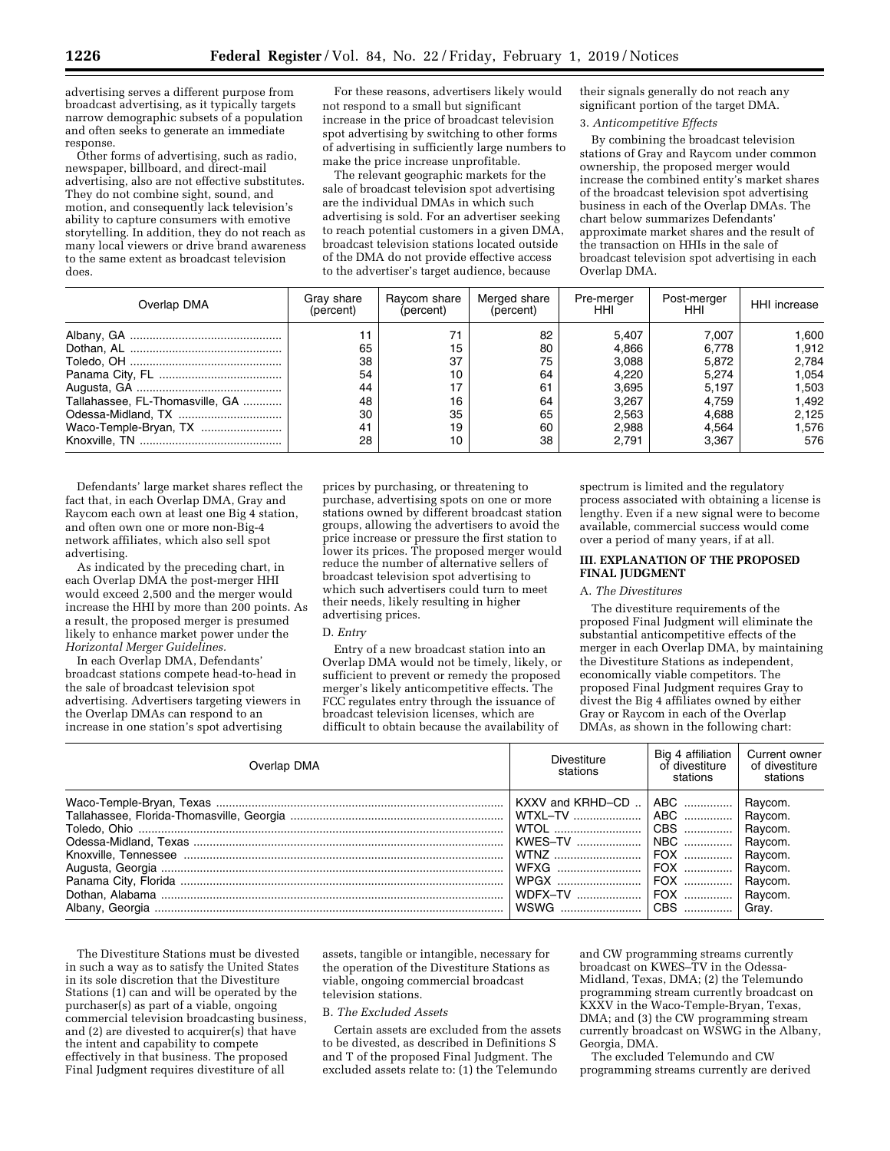advertising serves a different purpose from broadcast advertising, as it typically targets narrow demographic subsets of a population and often seeks to generate an immediate response.

Other forms of advertising, such as radio, newspaper, billboard, and direct-mail advertising, also are not effective substitutes. They do not combine sight, sound, and motion, and consequently lack television's ability to capture consumers with emotive storytelling. In addition, they do not reach as many local viewers or drive brand awareness to the same extent as broadcast television does.

For these reasons, advertisers likely would not respond to a small but significant increase in the price of broadcast television spot advertising by switching to other forms of advertising in sufficiently large numbers to make the price increase unprofitable.

The relevant geographic markets for the sale of broadcast television spot advertising are the individual DMAs in which such advertising is sold. For an advertiser seeking to reach potential customers in a given DMA, broadcast television stations located outside of the DMA do not provide effective access to the advertiser's target audience, because

their signals generally do not reach any significant portion of the target DMA.

# 3. *Anticompetitive Effects*

By combining the broadcast television stations of Gray and Raycom under common ownership, the proposed merger would increase the combined entity's market shares of the broadcast television spot advertising business in each of the Overlap DMAs. The chart below summarizes Defendants' approximate market shares and the result of the transaction on HHIs in the sale of broadcast television spot advertising in each Overlap DMA.

| Overlap DMA                     | Gray share<br>(percent) | Ravcom share<br>(percent) | Merged share<br>(percent) | Pre-merger<br>HHI. | Post-merger<br>HHI | HHI increase |
|---------------------------------|-------------------------|---------------------------|---------------------------|--------------------|--------------------|--------------|
|                                 |                         | 71                        | 82                        | 5.407              | 7.007              | 1,600        |
|                                 | 65                      | 15                        | 80                        | 4.866              | 6.778              | 1.912        |
|                                 | 38                      | 37                        | 75                        | 3,088              | 5.872              | 2,784        |
|                                 | 54                      | 10                        | 64                        | 4.220              | 5.274              | 1.054        |
|                                 | 44                      | 17                        | 61                        | 3.695              | 5.197              | 1.503        |
| Tallahassee, FL-Thomasville, GA | 48                      | 16                        | 64                        | 3.267              | 4.759              | 1.492        |
|                                 | 30                      | 35                        | 65                        | 2,563              | 4.688              | 2,125        |
| Waco-Temple-Bryan, TX           | 41                      | 19                        | 60                        | 2,988              | 4.564              | 1.576        |
|                                 | 28                      | 10                        | 38                        | 2.791              | 3.367              | 576          |

Defendants' large market shares reflect the fact that, in each Overlap DMA, Gray and Raycom each own at least one Big 4 station, and often own one or more non-Big-4 network affiliates, which also sell spot advertising.

As indicated by the preceding chart, in each Overlap DMA the post-merger HHI would exceed 2,500 and the merger would increase the HHI by more than 200 points. As a result, the proposed merger is presumed likely to enhance market power under the *Horizontal Merger Guidelines.* 

In each Overlap DMA, Defendants' broadcast stations compete head-to-head in the sale of broadcast television spot advertising. Advertisers targeting viewers in the Overlap DMAs can respond to an increase in one station's spot advertising

prices by purchasing, or threatening to purchase, advertising spots on one or more stations owned by different broadcast station groups, allowing the advertisers to avoid the price increase or pressure the first station to lower its prices. The proposed merger would reduce the number of alternative sellers of broadcast television spot advertising to which such advertisers could turn to meet their needs, likely resulting in higher advertising prices.

#### D. *Entry*

Entry of a new broadcast station into an Overlap DMA would not be timely, likely, or sufficient to prevent or remedy the proposed merger's likely anticompetitive effects. The FCC regulates entry through the issuance of broadcast television licenses, which are difficult to obtain because the availability of

spectrum is limited and the regulatory process associated with obtaining a license is lengthy. Even if a new signal were to become available, commercial success would come over a period of many years, if at all.

#### **III. EXPLANATION OF THE PROPOSED FINAL JUDGMENT**

#### A. *The Divestitures*

The divestiture requirements of the proposed Final Judgment will eliminate the substantial anticompetitive effects of the merger in each Overlap DMA, by maintaining the Divestiture Stations as independent, economically viable competitors. The proposed Final Judgment requires Gray to divest the Big 4 affiliates owned by either Gray or Raycom in each of the Overlap DMAs, as shown in the following chart:

| Overlap DMA | Divestiture<br>stations                                                       | Big 4 affiliation<br>of divestiture<br>stations | Current owner<br>of divestiture<br>stations |
|-------------|-------------------------------------------------------------------------------|-------------------------------------------------|---------------------------------------------|
|             | WTOL    CBS    Raycom.<br>WFXG    FOX    Raycom.<br>WDFX-TV    FOX    Raycom. | CBS                                             | Grav.                                       |

The Divestiture Stations must be divested in such a way as to satisfy the United States in its sole discretion that the Divestiture Stations (1) can and will be operated by the purchaser(s) as part of a viable, ongoing commercial television broadcasting business, and (2) are divested to acquirer(s) that have the intent and capability to compete effectively in that business. The proposed Final Judgment requires divestiture of all

assets, tangible or intangible, necessary for the operation of the Divestiture Stations as viable, ongoing commercial broadcast television stations.

#### B. *The Excluded Assets*

Certain assets are excluded from the assets to be divested, as described in Definitions S and T of the proposed Final Judgment. The excluded assets relate to: (1) the Telemundo

and CW programming streams currently broadcast on KWES–TV in the Odessa-Midland, Texas, DMA; (2) the Telemundo programming stream currently broadcast on KXXV in the Waco-Temple-Bryan, Texas, DMA; and (3) the CW programming stream currently broadcast on WSWG in the Albany, Georgia, DMA.

The excluded Telemundo and CW programming streams currently are derived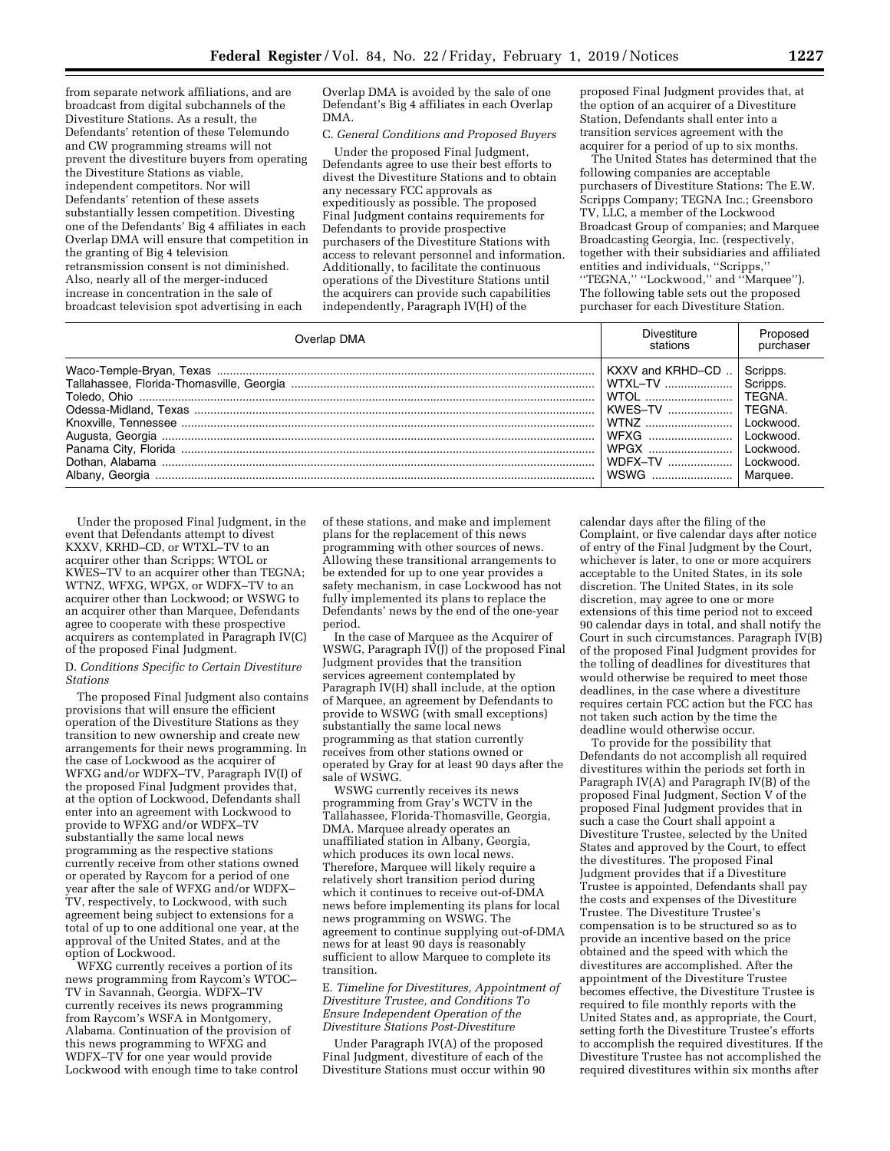from separate network affiliations, and are broadcast from digital subchannels of the Divestiture Stations. As a result, the Defendants' retention of these Telemundo and CW programming streams will not prevent the divestiture buyers from operating the Divestiture Stations as viable, independent competitors. Nor will Defendants' retention of these assets substantially lessen competition. Divesting one of the Defendants' Big 4 affiliates in each Overlap DMA will ensure that competition in the granting of Big 4 television retransmission consent is not diminished. Also, nearly all of the merger-induced increase in concentration in the sale of broadcast television spot advertising in each

Overlap DMA is avoided by the sale of one Defendant's Big 4 affiliates in each Overlap DMA.

# C. *General Conditions and Proposed Buyers*

Under the proposed Final Judgment, Defendants agree to use their best efforts to divest the Divestiture Stations and to obtain any necessary FCC approvals as expeditiously as possible. The proposed Final Judgment contains requirements for Defendants to provide prospective purchasers of the Divestiture Stations with access to relevant personnel and information. Additionally, to facilitate the continuous operations of the Divestiture Stations until the acquirers can provide such capabilities independently, Paragraph IV(H) of the

proposed Final Judgment provides that, at the option of an acquirer of a Divestiture Station, Defendants shall enter into a transition services agreement with the acquirer for a period of up to six months.

The United States has determined that the following companies are acceptable purchasers of Divestiture Stations: The E.W. Scripps Company; TEGNA Inc.; Greensboro TV, LLC, a member of the Lockwood Broadcast Group of companies; and Marquee Broadcasting Georgia, Inc. (respectively, together with their subsidiaries and affiliated entities and individuals, ''Scripps,'' ''TEGNA,'' ''Lockwood,'' and ''Marquee''). The following table sets out the proposed purchaser for each Divestiture Station.

| Overlap DMA | Divestiture<br>stations | Proposed<br>purchaser |
|-------------|-------------------------|-----------------------|
|             | KXXV and KRHD-CD        | Scripps.              |
|             | WTXL-TV                 | Scripps.              |
|             | WTOL                    | TEGNA.                |
|             | KWES-TV                 | TEGNA.                |
|             | WTNZ                    | Lockwood.             |
|             | WFXG                    | Lockwood.             |
|             | WPGX                    | Lockwood.             |
|             | <b>WDFX-TV</b>          | Lockwood.             |
|             | WSWG                    | Marquee.              |

Under the proposed Final Judgment, in the event that Defendants attempt to divest KXXV, KRHD–CD, or WTXL–TV to an acquirer other than Scripps; WTOL or KWES–TV to an acquirer other than TEGNA; WTNZ, WFXG, WPGX, or WDFX–TV to an acquirer other than Lockwood; or WSWG to an acquirer other than Marquee, Defendants agree to cooperate with these prospective acquirers as contemplated in Paragraph IV(C) of the proposed Final Judgment.

D. *Conditions Specific to Certain Divestiture Stations* 

The proposed Final Judgment also contains provisions that will ensure the efficient operation of the Divestiture Stations as they transition to new ownership and create new arrangements for their news programming. In the case of Lockwood as the acquirer of WFXG and/or WDFX–TV, Paragraph IV(I) of the proposed Final Judgment provides that, at the option of Lockwood, Defendants shall enter into an agreement with Lockwood to provide to WFXG and/or WDFX–TV substantially the same local news programming as the respective stations currently receive from other stations owned or operated by Raycom for a period of one year after the sale of WFXG and/or WDFX– TV, respectively, to Lockwood, with such agreement being subject to extensions for a total of up to one additional one year, at the approval of the United States, and at the option of Lockwood.

WFXG currently receives a portion of its news programming from Raycom's WTOC– TV in Savannah, Georgia. WDFX–TV currently receives its news programming from Raycom's WSFA in Montgomery, Alabama. Continuation of the provision of this news programming to WFXG and WDFX–TV for one year would provide Lockwood with enough time to take control of these stations, and make and implement plans for the replacement of this news programming with other sources of news. Allowing these transitional arrangements to be extended for up to one year provides a safety mechanism, in case Lockwood has not fully implemented its plans to replace the Defendants' news by the end of the one-year period.

In the case of Marquee as the Acquirer of WSWG, Paragraph IV(J) of the proposed Final Judgment provides that the transition services agreement contemplated by Paragraph IV(H) shall include, at the option of Marquee, an agreement by Defendants to provide to WSWG (with small exceptions) substantially the same local news programming as that station currently receives from other stations owned or operated by Gray for at least 90 days after the sale of WSWG.

WSWG currently receives its news programming from Gray's WCTV in the Tallahassee, Florida-Thomasville, Georgia, DMA. Marquee already operates an unaffiliated station in Albany, Georgia, which produces its own local news. Therefore, Marquee will likely require a relatively short transition period during which it continues to receive out-of-DMA news before implementing its plans for local news programming on WSWG. The agreement to continue supplying out-of-DMA news for at least 90 days is reasonably sufficient to allow Marquee to complete its transition.

E. *Timeline for Divestitures, Appointment of Divestiture Trustee, and Conditions To Ensure Independent Operation of the Divestiture Stations Post-Divestiture* 

Under Paragraph IV(A) of the proposed Final Judgment, divestiture of each of the Divestiture Stations must occur within 90

calendar days after the filing of the Complaint, or five calendar days after notice of entry of the Final Judgment by the Court, whichever is later, to one or more acquirers acceptable to the United States, in its sole discretion. The United States, in its sole discretion, may agree to one or more extensions of this time period not to exceed 90 calendar days in total, and shall notify the Court in such circumstances. Paragraph IV(B) of the proposed Final Judgment provides for the tolling of deadlines for divestitures that would otherwise be required to meet those deadlines, in the case where a divestiture requires certain FCC action but the FCC has not taken such action by the time the deadline would otherwise occur.

To provide for the possibility that Defendants do not accomplish all required divestitures within the periods set forth in Paragraph IV(A) and Paragraph IV(B) of the proposed Final Judgment, Section V of the proposed Final Judgment provides that in such a case the Court shall appoint a Divestiture Trustee, selected by the United States and approved by the Court, to effect the divestitures. The proposed Final Judgment provides that if a Divestiture Trustee is appointed, Defendants shall pay the costs and expenses of the Divestiture Trustee. The Divestiture Trustee's compensation is to be structured so as to provide an incentive based on the price obtained and the speed with which the divestitures are accomplished. After the appointment of the Divestiture Trustee becomes effective, the Divestiture Trustee is required to file monthly reports with the United States and, as appropriate, the Court, setting forth the Divestiture Trustee's efforts to accomplish the required divestitures. If the Divestiture Trustee has not accomplished the required divestitures within six months after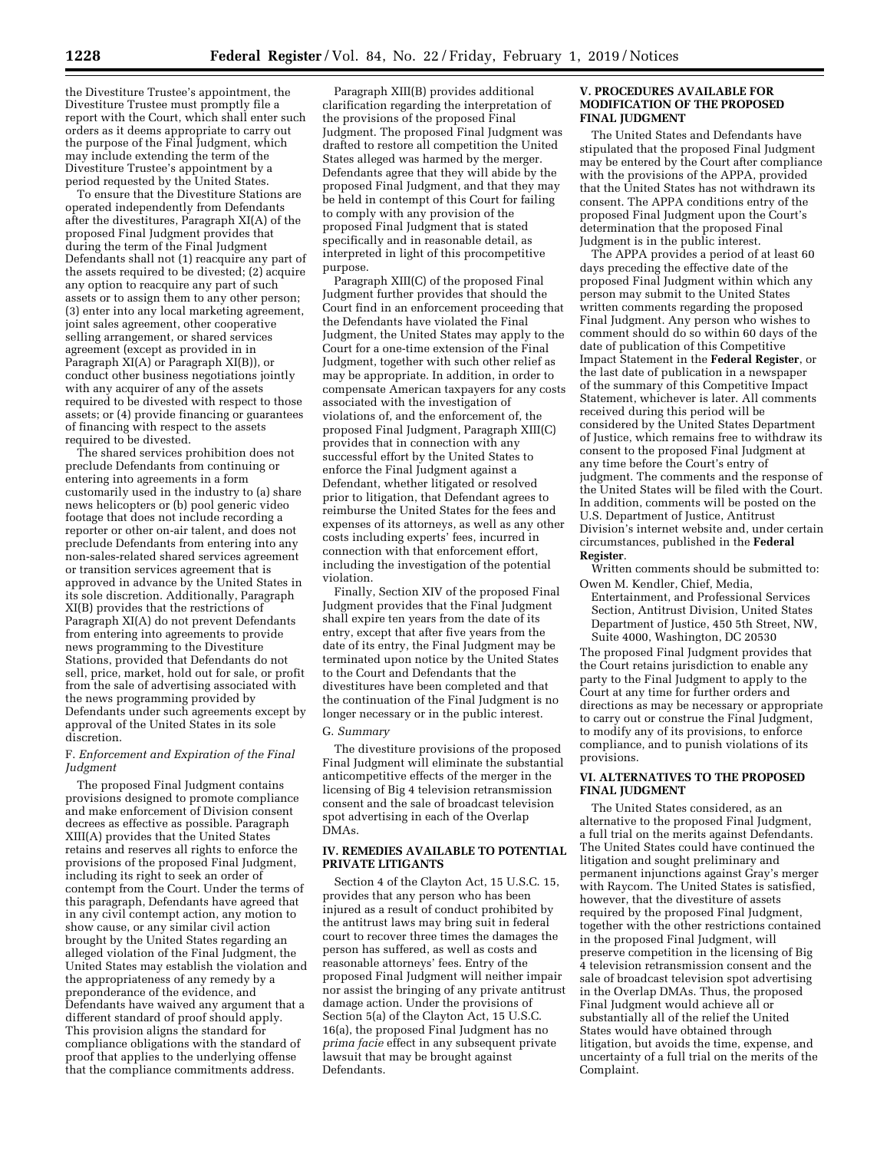the Divestiture Trustee's appointment, the Divestiture Trustee must promptly file a report with the Court, which shall enter such orders as it deems appropriate to carry out the purpose of the Final Judgment, which may include extending the term of the Divestiture Trustee's appointment by a period requested by the United States.

To ensure that the Divestiture Stations are operated independently from Defendants after the divestitures, Paragraph XI(A) of the proposed Final Judgment provides that during the term of the Final Judgment Defendants shall not (1) reacquire any part of the assets required to be divested; (2) acquire any option to reacquire any part of such assets or to assign them to any other person; (3) enter into any local marketing agreement, joint sales agreement, other cooperative selling arrangement, or shared services agreement (except as provided in in Paragraph XI(A) or Paragraph XI(B)), or conduct other business negotiations jointly with any acquirer of any of the assets required to be divested with respect to those assets; or (4) provide financing or guarantees of financing with respect to the assets required to be divested.

The shared services prohibition does not preclude Defendants from continuing or entering into agreements in a form customarily used in the industry to (a) share news helicopters or (b) pool generic video footage that does not include recording a reporter or other on-air talent, and does not preclude Defendants from entering into any non-sales-related shared services agreement or transition services agreement that is approved in advance by the United States in its sole discretion. Additionally, Paragraph XI(B) provides that the restrictions of Paragraph XI(A) do not prevent Defendants from entering into agreements to provide news programming to the Divestiture Stations, provided that Defendants do not sell, price, market, hold out for sale, or profit from the sale of advertising associated with the news programming provided by Defendants under such agreements except by approval of the United States in its sole discretion.

#### F. *Enforcement and Expiration of the Final Judgment*

The proposed Final Judgment contains provisions designed to promote compliance and make enforcement of Division consent decrees as effective as possible. Paragraph XIII(A) provides that the United States retains and reserves all rights to enforce the provisions of the proposed Final Judgment, including its right to seek an order of contempt from the Court. Under the terms of this paragraph, Defendants have agreed that in any civil contempt action, any motion to show cause, or any similar civil action brought by the United States regarding an alleged violation of the Final Judgment, the United States may establish the violation and the appropriateness of any remedy by a preponderance of the evidence, and Defendants have waived any argument that a different standard of proof should apply. This provision aligns the standard for compliance obligations with the standard of proof that applies to the underlying offense that the compliance commitments address.

Paragraph XIII(B) provides additional clarification regarding the interpretation of the provisions of the proposed Final Judgment. The proposed Final Judgment was drafted to restore all competition the United States alleged was harmed by the merger. Defendants agree that they will abide by the proposed Final Judgment, and that they may be held in contempt of this Court for failing to comply with any provision of the proposed Final Judgment that is stated specifically and in reasonable detail, as interpreted in light of this procompetitive purpose.

Paragraph XIII(C) of the proposed Final Judgment further provides that should the Court find in an enforcement proceeding that the Defendants have violated the Final Judgment, the United States may apply to the Court for a one-time extension of the Final Judgment, together with such other relief as may be appropriate. In addition, in order to compensate American taxpayers for any costs associated with the investigation of violations of, and the enforcement of, the proposed Final Judgment, Paragraph XIII(C) provides that in connection with any successful effort by the United States to enforce the Final Judgment against a Defendant, whether litigated or resolved prior to litigation, that Defendant agrees to reimburse the United States for the fees and expenses of its attorneys, as well as any other costs including experts' fees, incurred in connection with that enforcement effort, including the investigation of the potential violation.

Finally, Section XIV of the proposed Final Judgment provides that the Final Judgment shall expire ten years from the date of its entry, except that after five years from the date of its entry, the Final Judgment may be terminated upon notice by the United States to the Court and Defendants that the divestitures have been completed and that the continuation of the Final Judgment is no longer necessary or in the public interest.

#### G. *Summary*

The divestiture provisions of the proposed Final Judgment will eliminate the substantial anticompetitive effects of the merger in the licensing of Big 4 television retransmission consent and the sale of broadcast television spot advertising in each of the Overlap DMAs.

# **IV. REMEDIES AVAILABLE TO POTENTIAL PRIVATE LITIGANTS**

Section 4 of the Clayton Act, 15 U.S.C. 15, provides that any person who has been injured as a result of conduct prohibited by the antitrust laws may bring suit in federal court to recover three times the damages the person has suffered, as well as costs and reasonable attorneys' fees. Entry of the proposed Final Judgment will neither impair nor assist the bringing of any private antitrust damage action. Under the provisions of Section 5(a) of the Clayton Act, 15 U.S.C. 16(a), the proposed Final Judgment has no *prima facie* effect in any subsequent private lawsuit that may be brought against Defendants.

#### **V. PROCEDURES AVAILABLE FOR MODIFICATION OF THE PROPOSED FINAL JUDGMENT**

The United States and Defendants have stipulated that the proposed Final Judgment may be entered by the Court after compliance with the provisions of the APPA, provided that the United States has not withdrawn its consent. The APPA conditions entry of the proposed Final Judgment upon the Court's determination that the proposed Final Judgment is in the public interest.

The APPA provides a period of at least 60 days preceding the effective date of the proposed Final Judgment within which any person may submit to the United States written comments regarding the proposed Final Judgment. Any person who wishes to comment should do so within 60 days of the date of publication of this Competitive Impact Statement in the **Federal Register**, or the last date of publication in a newspaper of the summary of this Competitive Impact Statement, whichever is later. All comments received during this period will be considered by the United States Department of Justice, which remains free to withdraw its consent to the proposed Final Judgment at any time before the Court's entry of judgment. The comments and the response of the United States will be filed with the Court. In addition, comments will be posted on the U.S. Department of Justice, Antitrust Division's internet website and, under certain circumstances, published in the **Federal Register**.

Written comments should be submitted to: Owen M. Kendler, Chief, Media,

Entertainment, and Professional Services Section, Antitrust Division, United States Department of Justice, 450 5th Street, NW, Suite 4000, Washington, DC 20530

The proposed Final Judgment provides that the Court retains jurisdiction to enable any party to the Final Judgment to apply to the Court at any time for further orders and directions as may be necessary or appropriate to carry out or construe the Final Judgment, to modify any of its provisions, to enforce compliance, and to punish violations of its provisions.

### **VI. ALTERNATIVES TO THE PROPOSED FINAL JUDGMENT**

The United States considered, as an alternative to the proposed Final Judgment, a full trial on the merits against Defendants. The United States could have continued the litigation and sought preliminary and permanent injunctions against Gray's merger with Raycom. The United States is satisfied, however, that the divestiture of assets required by the proposed Final Judgment, together with the other restrictions contained in the proposed Final Judgment, will preserve competition in the licensing of Big 4 television retransmission consent and the sale of broadcast television spot advertising in the Overlap DMAs. Thus, the proposed Final Judgment would achieve all or substantially all of the relief the United States would have obtained through litigation, but avoids the time, expense, and uncertainty of a full trial on the merits of the Complaint.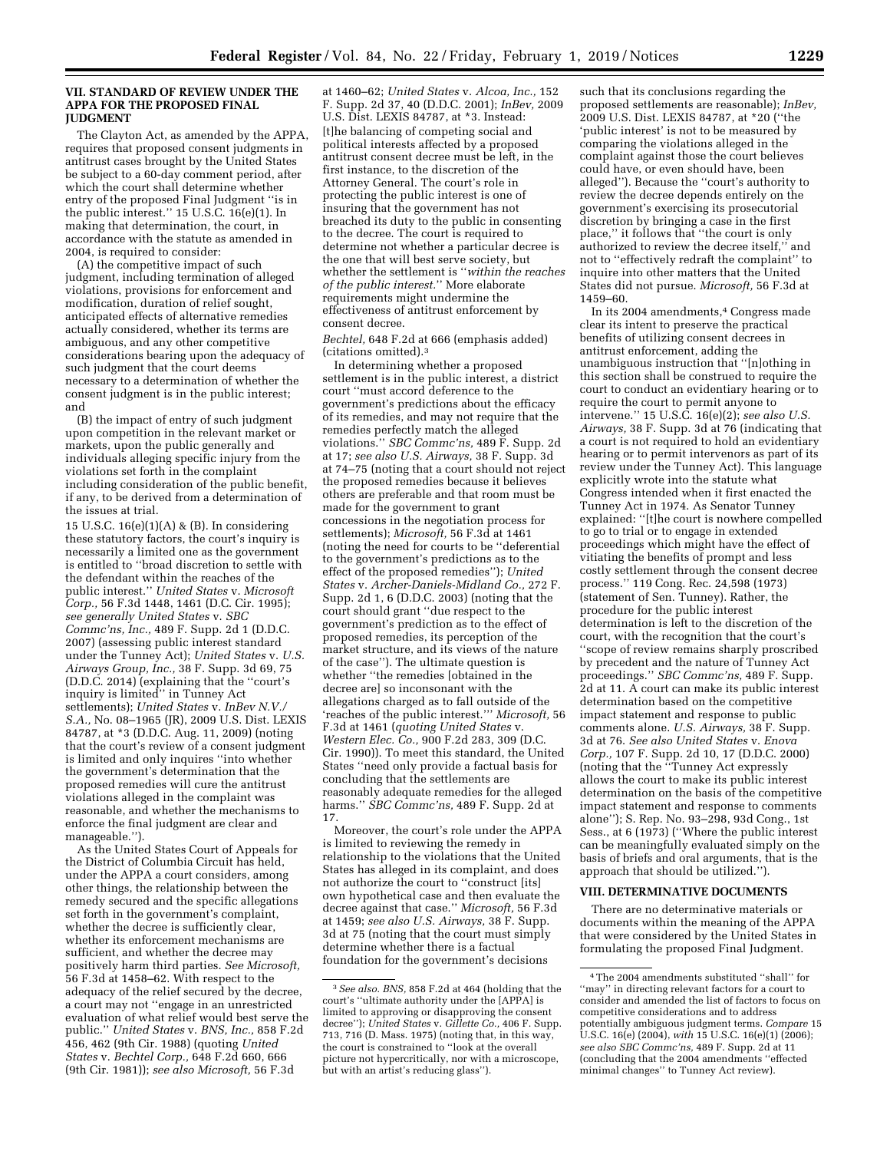### **VII. STANDARD OF REVIEW UNDER THE APPA FOR THE PROPOSED FINAL JUDGMENT**

The Clayton Act, as amended by the APPA, requires that proposed consent judgments in antitrust cases brought by the United States be subject to a 60-day comment period, after which the court shall determine whether entry of the proposed Final Judgment ''is in the public interest.'' 15 U.S.C. 16(e)(1). In making that determination, the court, in accordance with the statute as amended in 2004, is required to consider:

(A) the competitive impact of such judgment, including termination of alleged violations, provisions for enforcement and modification, duration of relief sought, anticipated effects of alternative remedies actually considered, whether its terms are ambiguous, and any other competitive considerations bearing upon the adequacy of such judgment that the court deems necessary to a determination of whether the consent judgment is in the public interest; and

(B) the impact of entry of such judgment upon competition in the relevant market or markets, upon the public generally and individuals alleging specific injury from the violations set forth in the complaint including consideration of the public benefit, if any, to be derived from a determination of the issues at trial.

15 U.S.C. 16(e)(1)(A) & (B). In considering these statutory factors, the court's inquiry is necessarily a limited one as the government is entitled to ''broad discretion to settle with the defendant within the reaches of the public interest.'' *United States* v. *Microsoft Corp.,* 56 F.3d 1448, 1461 (D.C. Cir. 1995); *see generally United States* v. *SBC Commc'ns, Inc.,* 489 F. Supp. 2d 1 (D.D.C. 2007) (assessing public interest standard under the Tunney Act); *United States* v. *U.S. Airways Group, Inc.,* 38 F. Supp. 3d 69, 75 (D.D.C. 2014) (explaining that the ''court's inquiry is limited'' in Tunney Act settlements); *United States* v. *InBev N.V./ S.A.,* No. 08–1965 (JR), 2009 U.S. Dist. LEXIS 84787, at \*3 (D.D.C. Aug. 11, 2009) (noting that the court's review of a consent judgment is limited and only inquires ''into whether the government's determination that the proposed remedies will cure the antitrust violations alleged in the complaint was reasonable, and whether the mechanisms to enforce the final judgment are clear and manageable.'').

As the United States Court of Appeals for the District of Columbia Circuit has held, under the APPA a court considers, among other things, the relationship between the remedy secured and the specific allegations set forth in the government's complaint, whether the decree is sufficiently clear, whether its enforcement mechanisms are sufficient, and whether the decree may positively harm third parties. *See Microsoft,*  56 F.3d at 1458–62. With respect to the adequacy of the relief secured by the decree, a court may not ''engage in an unrestricted evaluation of what relief would best serve the public.'' *United States* v. *BNS, Inc.,* 858 F.2d 456, 462 (9th Cir. 1988) (quoting *United States* v. *Bechtel Corp.,* 648 F.2d 660, 666 (9th Cir. 1981)); *see also Microsoft,* 56 F.3d

at 1460–62; *United States* v. *Alcoa, Inc.,* 152 F. Supp. 2d 37, 40 (D.D.C. 2001); *InBev,* 2009 U.S. Dist. LEXIS 84787, at \*3. Instead: [t]he balancing of competing social and political interests affected by a proposed antitrust consent decree must be left, in the first instance, to the discretion of the Attorney General. The court's role in protecting the public interest is one of insuring that the government has not breached its duty to the public in consenting to the decree. The court is required to determine not whether a particular decree is the one that will best serve society, but whether the settlement is ''*within the reaches of the public interest.*'' More elaborate requirements might undermine the effectiveness of antitrust enforcement by consent decree.

*Bechtel,* 648 F.2d at 666 (emphasis added) (citations omitted).3

In determining whether a proposed settlement is in the public interest, a district court ''must accord deference to the government's predictions about the efficacy of its remedies, and may not require that the remedies perfectly match the alleged violations.'' *SBC Commc'ns,* 489 F. Supp. 2d at 17; *see also U.S. Airways,* 38 F. Supp. 3d at 74–75 (noting that a court should not reject the proposed remedies because it believes others are preferable and that room must be made for the government to grant concessions in the negotiation process for settlements); *Microsoft,* 56 F.3d at 1461 (noting the need for courts to be ''deferential to the government's predictions as to the effect of the proposed remedies''); *United States* v. *Archer-Daniels-Midland Co.,* 272 F. Supp. 2d 1, 6 (D.D.C. 2003) (noting that the court should grant ''due respect to the government's prediction as to the effect of proposed remedies, its perception of the market structure, and its views of the nature of the case''). The ultimate question is whether ''the remedies [obtained in the decree are] so inconsonant with the allegations charged as to fall outside of the 'reaches of the public interest.''' *Microsoft,* 56 F.3d at 1461 (*quoting United States* v. *Western Elec. Co.,* 900 F.2d 283, 309 (D.C. Cir. 1990)). To meet this standard, the United States ''need only provide a factual basis for concluding that the settlements are reasonably adequate remedies for the alleged harms.'' *SBC Commc'ns,* 489 F. Supp. 2d at 17.

Moreover, the court's role under the APPA is limited to reviewing the remedy in relationship to the violations that the United States has alleged in its complaint, and does not authorize the court to ''construct [its] own hypothetical case and then evaluate the decree against that case.'' *Microsoft,* 56 F.3d at 1459; *see also U.S. Airways,* 38 F. Supp. 3d at 75 (noting that the court must simply determine whether there is a factual foundation for the government's decisions

such that its conclusions regarding the proposed settlements are reasonable); *InBev,*  2009 U.S. Dist. LEXIS 84787, at \*20 (''the 'public interest' is not to be measured by comparing the violations alleged in the complaint against those the court believes could have, or even should have, been alleged''). Because the ''court's authority to review the decree depends entirely on the government's exercising its prosecutorial discretion by bringing a case in the first place,'' it follows that ''the court is only authorized to review the decree itself,'' and not to ''effectively redraft the complaint'' to inquire into other matters that the United States did not pursue. *Microsoft,* 56 F.3d at 1459–60.

In its 2004 amendments,4 Congress made clear its intent to preserve the practical benefits of utilizing consent decrees in antitrust enforcement, adding the unambiguous instruction that ''[n]othing in this section shall be construed to require the court to conduct an evidentiary hearing or to require the court to permit anyone to intervene.'' 15 U.S.C. 16(e)(2); *see also U.S. Airways,* 38 F. Supp. 3d at 76 (indicating that a court is not required to hold an evidentiary hearing or to permit intervenors as part of its review under the Tunney Act). This language explicitly wrote into the statute what Congress intended when it first enacted the Tunney Act in 1974. As Senator Tunney explained: ''[t]he court is nowhere compelled to go to trial or to engage in extended proceedings which might have the effect of vitiating the benefits of prompt and less costly settlement through the consent decree process.'' 119 Cong. Rec. 24,598 (1973) (statement of Sen. Tunney). Rather, the procedure for the public interest determination is left to the discretion of the court, with the recognition that the court's ''scope of review remains sharply proscribed by precedent and the nature of Tunney Act proceedings.'' *SBC Commc'ns,* 489 F. Supp. 2d at 11. A court can make its public interest determination based on the competitive impact statement and response to public comments alone. *U.S. Airways,* 38 F. Supp. 3d at 76. *See also United States* v. *Enova Corp.,* 107 F. Supp. 2d 10, 17 (D.D.C. 2000) (noting that the ''Tunney Act expressly allows the court to make its public interest determination on the basis of the competitive impact statement and response to comments alone''); S. Rep. No. 93–298, 93d Cong., 1st Sess., at 6 (1973) (''Where the public interest can be meaningfully evaluated simply on the basis of briefs and oral arguments, that is the approach that should be utilized.'').

#### **VIII. DETERMINATIVE DOCUMENTS**

There are no determinative materials or documents within the meaning of the APPA that were considered by the United States in formulating the proposed Final Judgment.

<sup>3</sup>*See also. BNS,* 858 F.2d at 464 (holding that the court's ''ultimate authority under the [APPA] is limited to approving or disapproving the consent decree''); *United States* v. *Gillette Co.,* 406 F. Supp. 713, 716 (D. Mass. 1975) (noting that, in this way, the court is constrained to ''look at the overall picture not hypercritically, nor with a microscope, but with an artist's reducing glass'').

<sup>4</sup>The 2004 amendments substituted ''shall'' for ''may'' in directing relevant factors for a court to consider and amended the list of factors to focus on competitive considerations and to address potentially ambiguous judgment terms. *Compare* 15 U.S.C. 16(e) (2004), *with* 15 U.S.C. 16(e)(1) (2006); *see also SBC Commc'ns,* 489 F. Supp. 2d at 11 (concluding that the 2004 amendments ''effected minimal changes'' to Tunney Act review).